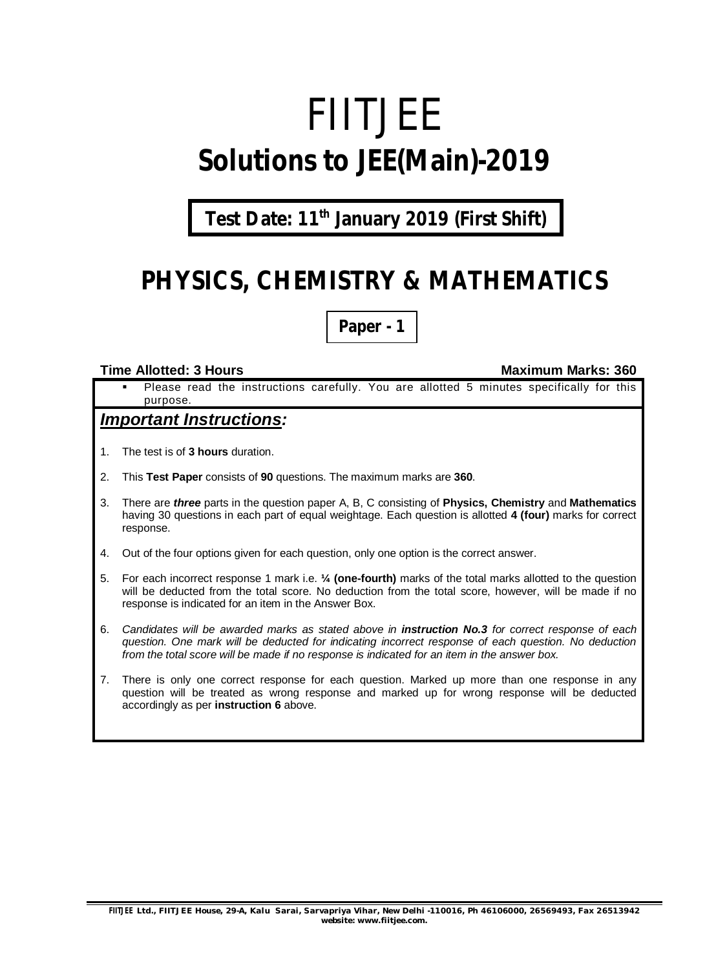# FIITJEE **Solutions to JEE(Main)-2019**

### **Test Date: 11th January 2019 (First Shift)**

### **PHYSICS, CHEMISTRY & MATHEMATICS**

**Paper - 1**

#### **Time Allotted: 3 Hours Maximum Marks: 360**

 Please read the instructions carefully. You are allotted 5 minutes specifically for this purpose.

#### *Important Instructions:*

- 1. The test is of **3 hours** duration.
- 2. This **Test Paper** consists of **90** questions. The maximum marks are **360**.
- 3. There are *three* parts in the question paper A, B, C consisting of **Physics, Chemistry** and **Mathematics** having 30 questions in each part of equal weightage. Each question is allotted **4 (four)** marks for correct response.
- 4. Out of the four options given for each question, only one option is the correct answer.
- 5. For each incorrect response 1 mark i.e. **¼ (one-fourth)** marks of the total marks allotted to the question will be deducted from the total score. No deduction from the total score, however, will be made if no response is indicated for an item in the Answer Box.
- 6. *Candidates will be awarded marks as stated above in instruction No.3 for correct response of each question. One mark will be deducted for indicating incorrect response of each question. No deduction from the total score will be made if no response is indicated for an item in the answer box.*
- 7. There is only one correct response for each question. Marked up more than one response in any question will be treated as wrong response and marked up for wrong response will be deducted accordingly as per **instruction 6** above.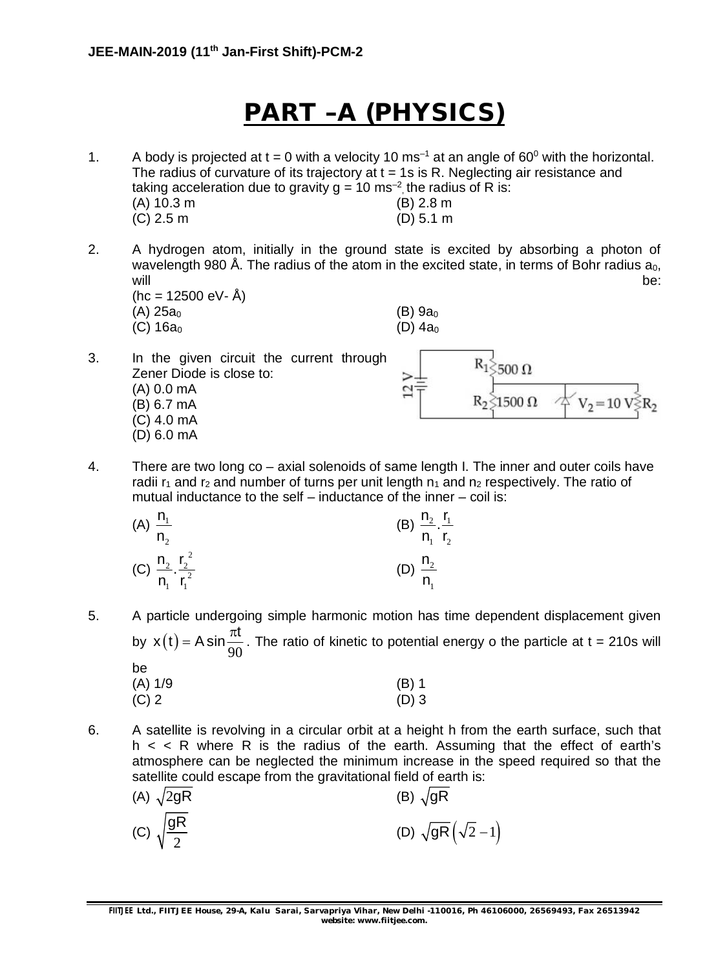### **PART –A (PHYSICS)**

- 1. A body is projected at  $t = 0$  with a velocity 10 ms<sup>-1</sup> at an angle of 60<sup>0</sup> with the horizontal. The radius of curvature of its trajectory at  $t = 1$ s is R. Neglecting air resistance and taking acceleration due to gravity  $g = 10$  ms<sup>-2</sup>, the radius of R is: (A) 10.3 m (B) 2.8 m (C) 2.5 m (D) 5.1 m
- 2. A hydrogen atom, initially in the ground state is excited by absorbing a photon of wavelength 980 Å. The radius of the atom in the excited state, in terms of Bohr radius  $a_0$ , will be: the contract of the contract of the contract of the contract of the contract of the contract of the contract of the contract of the contract of the contract of the contract of the contract of the contract of the c  $(hc = 12500 \text{ eV} - \text{Å})$

 $500<sub>0</sub>$ 

 $1500 \Omega$ 

3. In the given circuit the current through Zener Diode is close to: (A) 0.0 mA (B) 6.7 mA (C) 4.0 mA (D) 6.0 mA

4. There are two long co – axial solenoids of same length I. The inner and outer coils have radii  $r_1$  and  $r_2$  and number of turns per unit length  $n_1$  and  $n_2$  respectively. The ratio of mutual inductance to the self – inductance of the inner – coil is:

 $\overline{a}$ 

| (A) $\frac{n_1}{n_2}$ |                                                 | (B) $\frac{n_2}{n_1} \cdot \frac{r_1}{r_2}$ |  |
|-----------------------|-------------------------------------------------|---------------------------------------------|--|
|                       | (C) $\frac{n_2}{n_1} \cdot \frac{r_2^2}{r_1^2}$ | (D) $\frac{n_2}{n_1}$                       |  |

 $(A)$  25a<sub>0</sub> (B) 9a<sub>0</sub> (C)  $16a_0$  (D)  $4a_0$ 

- 5. A particle undergoing simple harmonic motion has time dependent displacement given by  $x(t)$ 90  $x(t) = A \sin \frac{\pi t}{\cos \theta}$ . The ratio of kinetic to potential energy o the particle at t = 210s will be (A) 1/9 (B) 1  $(C) 2$  (D) 3
- 
- 6. A satellite is revolving in a circular orbit at a height h from the earth surface, such that  $h < R$  where R is the radius of the earth. Assuming that the effect of earth's atmosphere can be neglected the minimum increase in the speed required so that the satellite could escape from the gravitational field of earth is:

(A) 
$$
\sqrt{2gR}
$$
  
\n(B)  $\sqrt{gR}$   
\n(C)  $\sqrt{\frac{gR}{2}}$   
\n(D)  $\sqrt{gR}(\sqrt{2}-1)$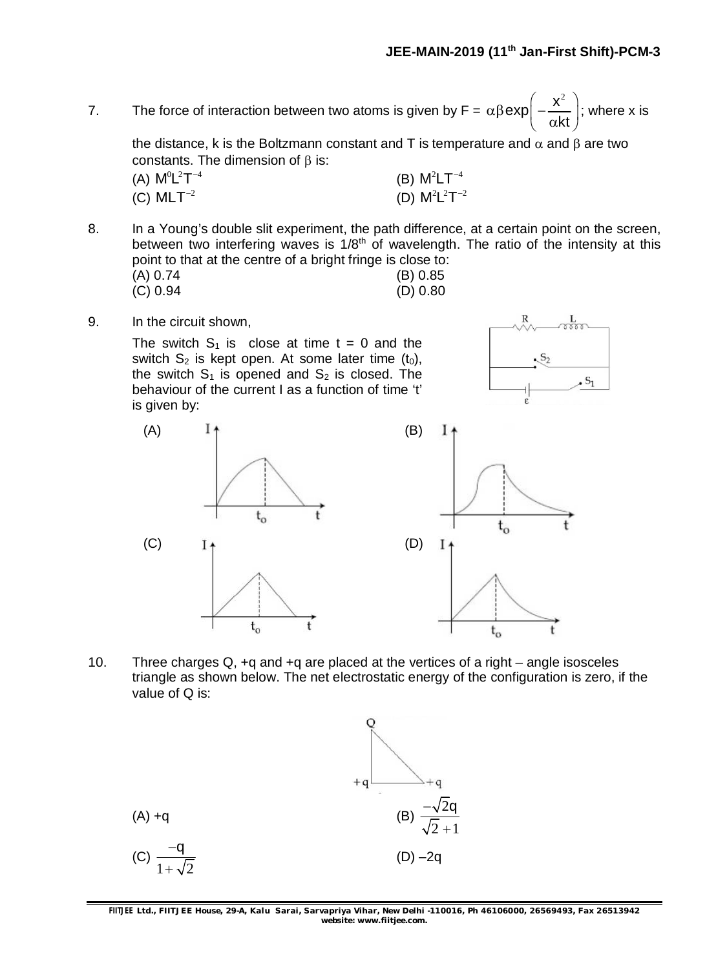$\mathcal{S}_2$ 

 $S_1$ 

7. The force of interaction between two atoms is given by  $F =$  $\exp\left(-\frac{x^2}{2}\right)$  $\alpha\beta$ exp $\left(-\frac{x^2}{\alpha kt}\right);$ ; where x is

the distance, k is the Boltzmann constant and T is temperature and  $\alpha$  and  $\beta$  are two constants. The dimension of  $\beta$  is:

| (A) $M^0L^2T^{-4}$ | (B) $\mathsf{M}^2\mathsf{LT}^{-4}$ |
|--------------------|------------------------------------|
| (C) $MLT^{-2}$     | (D) $M^2L^2T^{-2}$                 |

8. In a Young's double slit experiment, the path difference, at a certain point on the screen, between two interfering waves is  $1/8<sup>th</sup>$  of wavelength. The ratio of the intensity at this point to that at the centre of a bright fringe is close to:

| (A) 0.74 | (B) 0.85 |
|----------|----------|
| (C) 0.94 | (D) 0.80 |

9. In the circuit shown,

The switch  $S_1$  is close at time  $t = 0$  and the switch  $S_2$  is kept open. At some later time  $(t_0)$ , the switch  $S_1$  is opened and  $S_2$  is closed. The behaviour of the current I as a function of time 't' is given by:



10. Three charges Q, +q and +q are placed at the vertices of a right – angle isosceles triangle as shown below. The net electrostatic energy of the configuration is zero, if the value of Q is:

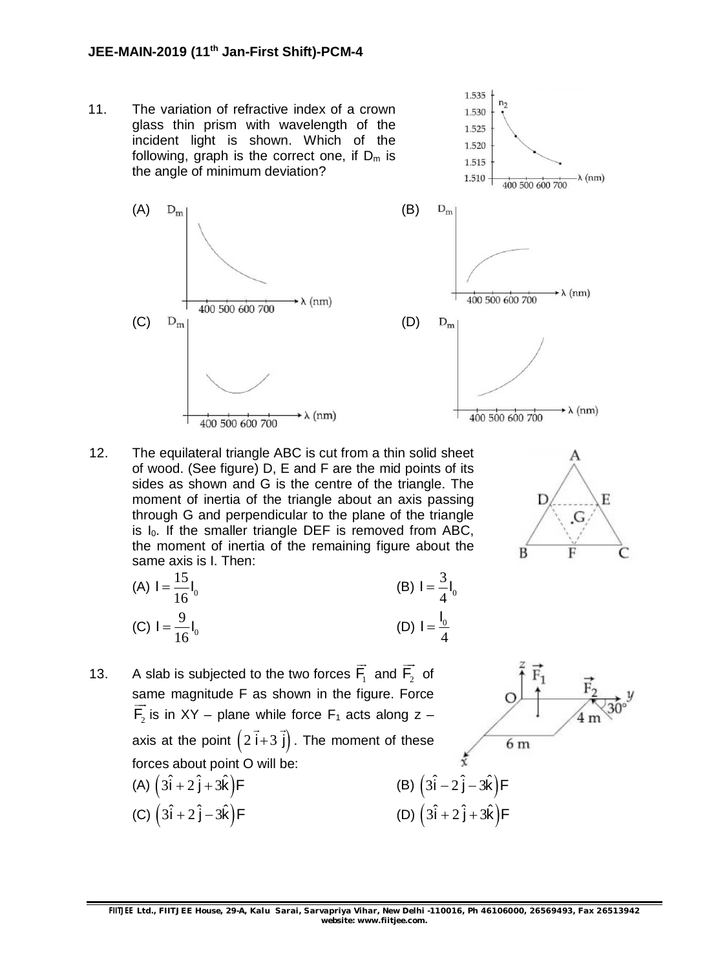#### **JEE-MAIN-2019 (11th Jan-First Shift)-PCM-4**

11. The variation of refractive index of a crown glass thin prism with wavelength of the incident light is shown. Which of the following, graph is the correct one, if  $D_m$  is the angle of minimum deviation?





12. The equilateral triangle ABC is cut from a thin solid sheet of wood. (See figure) D, E and F are the mid points of its sides as shown and G is the centre of the triangle. The moment of inertia of the triangle about an axis passing through G and perpendicular to the plane of the triangle is  $I_0$ . If the smaller triangle DEF is removed from ABC, the moment of inertia of the remaining figure about the same axis is I. Then:

(A) 
$$
I = \frac{15}{16}I_0
$$
  
\n(B)  $I = \frac{3}{4}I_0$   
\n(C)  $I = \frac{9}{16}I_0$   
\n(D)  $I = \frac{I_0}{4}$ 

13. A slab is subjected to the two forces  $F_1$  $\rightarrow$ and  $\mathsf{F}_2$  $\rightarrow$ of same magnitude F as shown in the figure. Force  $\overline{\phantom{a}}$  $F_2$  is in XY – plane while force  $F_1$  acts along z – axis at the point  $(2 i+3 j)$  $\rightarrow$   $\rightarrow$ . The moment of these forces about point O will be:

(A) 
$$
(3\hat{i} + 2\hat{j} + 3\hat{k})F
$$
  
\n(B)  $(3\hat{i} - 2\hat{j} - 3\hat{k})F$   
\n(C)  $(3\hat{i} + 2\hat{j} - 3\hat{k})F$   
\n(D)  $(3\hat{i} + 2\hat{j} + 3\hat{k})F$ 



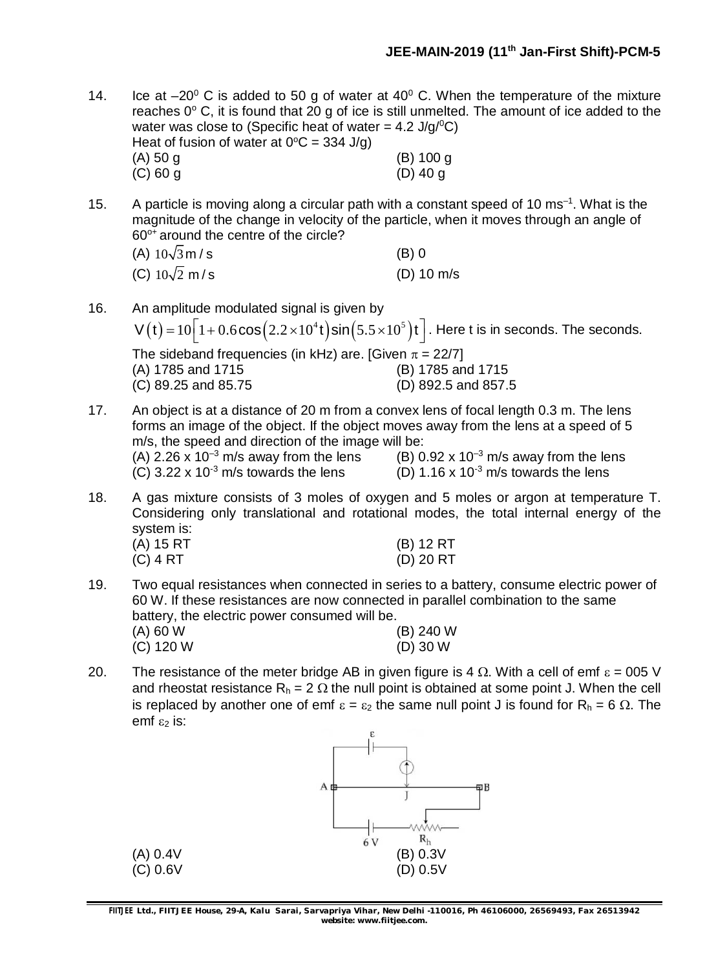14. Ice at  $-20^{\circ}$  C is added to 50 g of water at 40 $^{\circ}$  C. When the temperature of the mixture reaches  $0^{\circ}$  C, it is found that  $20$  g of ice is still unmelted. The amount of ice added to the water was close to (Specific heat of water =  $4.2 \text{ J/q} / {}^{0}C$ ) Heat of fusion of water at  $0^{\circ}C = 334$  J/g) (A) 50 g (B) 100 g (C) 60 g (D) 40 g

15. A particle is moving along a circular path with a constant speed of 10 ms<sup>-1</sup>. What is the magnitude of the change in velocity of the particle, when it moves through an angle of  $60^{\circ}$ + around the centre of the circle?

| (A) $10\sqrt{3}$ m / s | (B) 0        |
|------------------------|--------------|
| (C) $10\sqrt{2}$ m/s   | $(D)$ 10 m/s |

- 16. An amplitude modulated signal is given by  $V(t) = 10 \left[ 1 + 0.6 \cos \left( 2.2 \times 10^4 t \right) \sin \left( 5.5 \times 10^5 \right) t \right]$  . Here t is in seconds. The seconds. The sideband frequencies (in kHz) are. [Given  $\pi = 22/7$ ] (A) 1785 and 1715 (B) 1785 and 1715 (C) 89.25 and 85.75 (D) 892.5 and 857.5
- 17. An object is at a distance of 20 m from a convex lens of focal length 0.3 m. The lens forms an image of the object. If the object moves away from the lens at a speed of 5 m/s, the speed and direction of the image will be: (A) 2.26 x 10<sup>-3</sup> m/s away from the lens (B) 0.92 x 10<sup>-3</sup> m/s away from the lens (C) 3.22 x 10<sup>-3</sup> m/s towards the lens (C)  $3.22 \times 10^{-3}$  m/s towards the lens
- 18. A gas mixture consists of 3 moles of oxygen and 5 moles or argon at temperature T. Considering only translational and rotational modes, the total internal energy of the  $system$  is:<br>(A)  $15RT$ (B) 12 RT

| I A GI (A) | (D) IZKI  |
|------------|-----------|
| (C) 4 RT   | (D) 20 RT |
|            |           |

- 19. Two equal resistances when connected in series to a battery, consume electric power of 60 W. If these resistances are now connected in parallel combination to the same battery, the electric power consumed will be. (A) 60 W (B) 240 W (C) 120 W (D) 30 W
- 20. The resistance of the meter bridge AB in given figure is 4  $\Omega$ . With a cell of emf  $\varepsilon = 005$  V and rheostat resistance  $R_h = 2 \Omega$  the null point is obtained at some point J. When the cell is replaced by another one of emf  $\varepsilon = \varepsilon_2$  the same null point J is found for R<sub>h</sub> = 6  $\Omega$ . The emf $\epsilon$ <sub>2</sub> is:



**FIITJEE** *Ltd., FIITJEE House, 29-A, Kalu Sarai, Sarvapriya Vihar, New Delhi -110016, Ph 46106000, 26569493, Fax 26513942 website: [www.fiitjee.com.](http://www.fiitjee.com.)*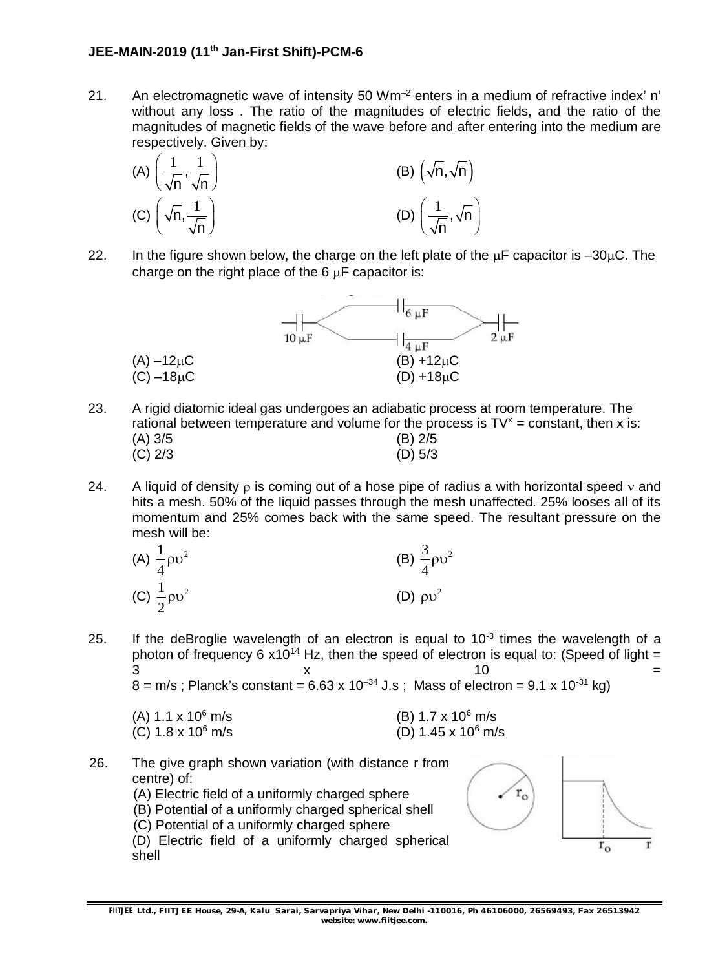### **JEE-MAIN-2019 (11th Jan-First Shift)-PCM-6**

21. An electromagnetic wave of intensity 50  $Wm^{-2}$  enters in a medium of refractive index' n' without any loss . The ratio of the magnitudes of electric fields, and the ratio of the magnitudes of magnetic fields of the wave before and after entering into the medium are respectively. Given by:



22. In the figure shown below, the charge on the left plate of the  $\mu$ F capacitor is -30 $\mu$ C. The charge on the right place of the  $6 \mu F$  capacitor is:



- 23. A rigid diatomic ideal gas undergoes an adiabatic process at room temperature. The rational between temperature and volume for the process is  $TV^x = constant$ , then x is: (A) 3/5 (B) 2/5 (C) 2/3 (D) 5/3
- 24. A liquid of density  $\rho$  is coming out of a hose pipe of radius a with horizontal speed  $\nu$  and hits a mesh. 50% of the liquid passes through the mesh unaffected. 25% looses all of its momentum and 25% comes back with the same speed. The resultant pressure on the mesh will be:

| (A) $\frac{1}{4} \rho v^2$ | (B) $\frac{3}{4} \rho v^2$ |
|----------------------------|----------------------------|
| (C) $\frac{1}{2} \rho v^2$ | (D) $\rho v^2$             |

25. If the deBroglie wavelength of an electron is equal to  $10^{-3}$  times the wavelength of a photon of frequency 6  $x10^{14}$  Hz, then the speed of electron is equal to: (Speed of light =  $\begin{array}{ccc} 3 & \times & \end{array}$  10  $\begin{array}{ccc} \end{array}$  $8 = m/s$ ; Planck's constant = 6.63 x 10<sup>-34</sup> J.s ; Mass of electron = 9.1 x 10<sup>-31</sup> kg)

| (A) $1.1 \times 10^6$ m/s |  |
|---------------------------|--|
| (C) $1.8 \times 10^6$ m/s |  |

- (B) 1.7 x 10<sup>6</sup> m/s  $(D)$  1.45 x 10<sup>6</sup> m/s
- 26. The give graph shown variation (with distance r from centre) of: (A) Electric field of a uniformly charged sphere (B) Potential of a uniformly charged spherical shell (C) Potential of a uniformly charged sphere (D) Electric field of a uniformly charged spherical shell

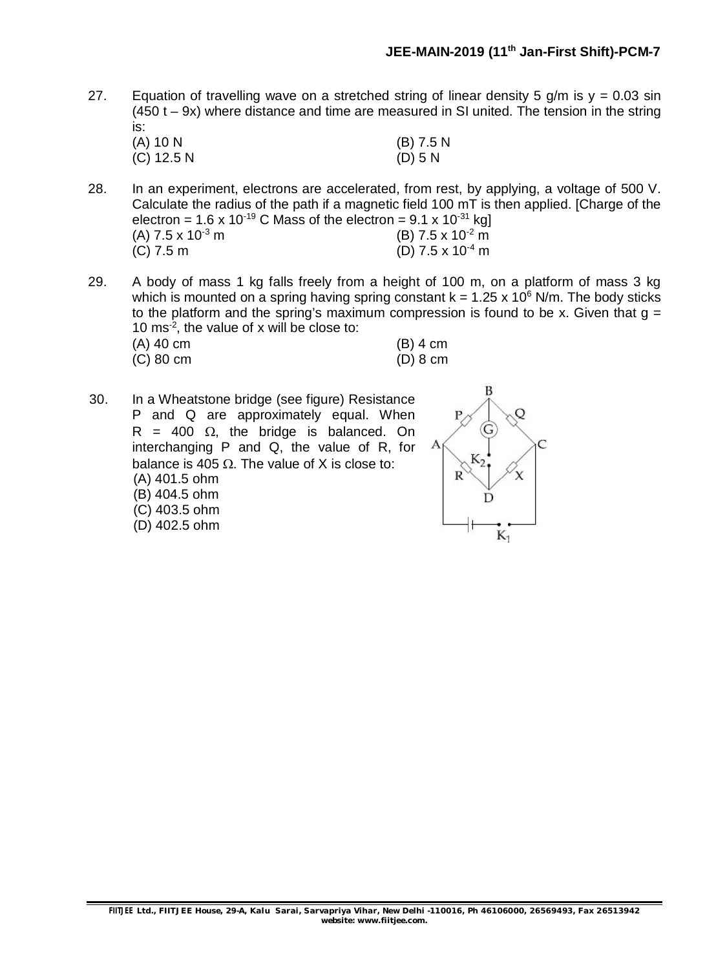27. Equation of travelling wave on a stretched string of linear density 5 g/m is  $y = 0.03 \sin x$  $(450 t - 9x)$  where distance and time are measured in SI united. The tension in the string is:

| $(A)$ 10 N   | $(B)$ 7.5 N |
|--------------|-------------|
| $(C)$ 12.5 N | $(D)$ 5 N   |

- 28. In an experiment, electrons are accelerated, from rest, by applying, a voltage of 500 V. Calculate the radius of the path if a magnetic field 100 mT is then applied. [Charge of the electron =  $1.6 \times 10^{-19}$  C Mass of the electron =  $9.1 \times 10^{-31}$  kg] (A) 7.5 x 10<sup>-3</sup> m<br>(C) 7.5 m (C) 7.5 m (D) 7.5 x 10<sup>-2</sup> m  $(D)$  7.5 x 10<sup>-4</sup> m
- 29. A body of mass 1 kg falls freely from a height of 100 m, on a platform of mass 3 kg which is mounted on a spring having spring constant  $k = 1.25 \times 10^6$  N/m. The body sticks to the platform and the spring's maximum compression is found to be x. Given that  $q =$ 10 ms-2 , the value of x will be close to:

| $(A)$ 40 cm | $(B)$ 4 cm |
|-------------|------------|
| $(C)$ 80 cm | $(D)$ 8 cm |

30. In a Wheatstone bridge (see figure) Resistance P and Q are approximately equal. When  $R = 400 \Omega$ , the bridge is balanced. On interchanging P and Q, the value of R, for balance is 405  $\Omega$ . The value of X is close to: (A) 401.5 ohm (B) 404.5 ohm (C) 403.5 ohm (D) 402.5 ohm

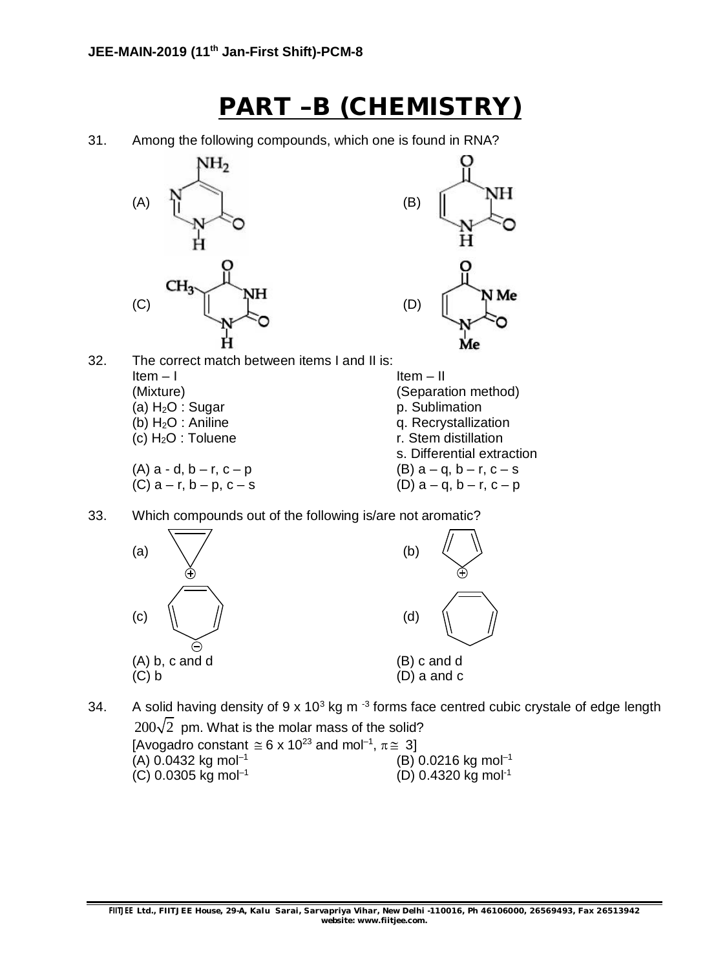### **PART –B (CHEMISTRY)**

31. Among the following compounds, which one is found in RNA?





34. A solid having density of 9 x 10<sup>3</sup> kg m<sup>-3</sup> forms face centred cubic crystale of edge length  $200\sqrt{2}$  pm. What is the molar mass of the solid? [Avogadro constant  $\approx$  6 x 10<sup>23</sup> and mol<sup>-1</sup>,  $\pi \approx 3$ ]  $(A)$  0.0432 kg mol<sup>-1</sup> (B) 0.0216 kg mol–1  $(C)$  0.0305 kg mol<sup>-1</sup> (D) 0.4320 kg mol-1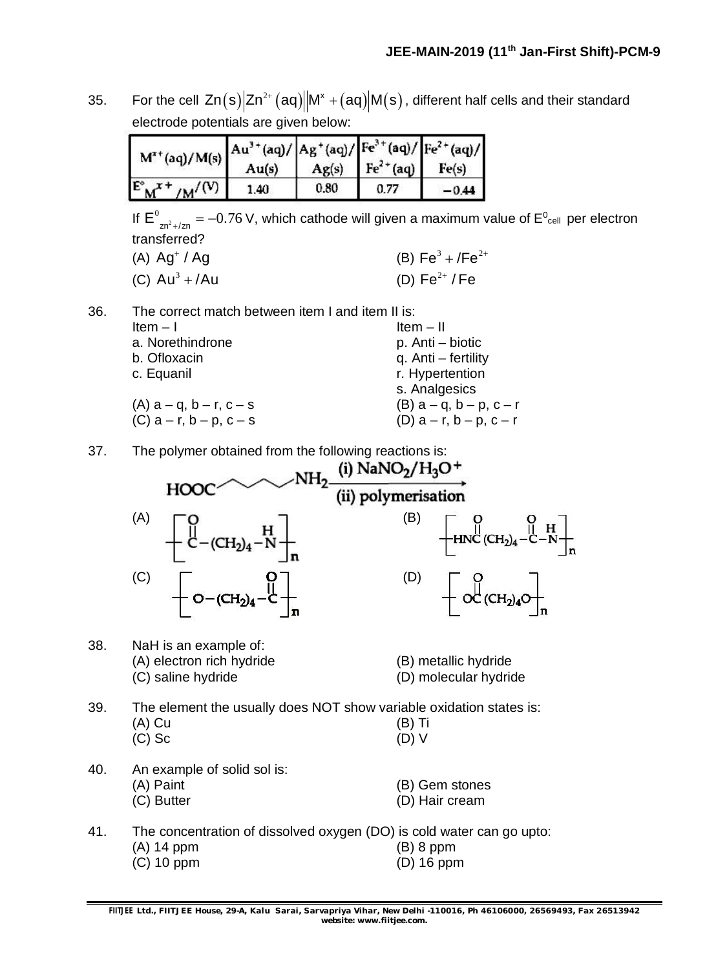35. For the cell  $Zn(s)|Zn^{2+}(aq)||M^x + (aq)|M(s)$ , different half cells and their standard electrode potentials are given below:

| $M^{x+}(aq)/M(s)$ $\begin{array}{ c c c c }\n\hline\nAu^{x+}(aq)/Aq^{x+}(aq)/Aq(s)/Aq(s) & \hline\nHe^{2+}(aq)/Aq(s) & \hline\nHe^{2+}(aq) & \hline\nHe^{(s)}\n\hline\n\end{array}$ |      |      | $Ag(s)$ $Fe2+(aq)$ |  |
|-------------------------------------------------------------------------------------------------------------------------------------------------------------------------------------|------|------|--------------------|--|
| $E_{M}^*$ + $/M^{/(V)}$                                                                                                                                                             | 1.40 | 0.80 |                    |  |

If  $E^0_{\text{Zn}^2 + / \text{Zn}} = -0.76$  V, which cathode will given a maximum value of  $E^0_{\text{cell}}$  per electron transferred?

| $(A)$ Ag <sup>+</sup> / Ag | (B) $Fe^3 + /Fe^{2+}$ |
|----------------------------|-----------------------|
| (C) $Au^3 + /Au$           | (D) Fe $^{2+}$ / Fe   |

36. The correct match between item I and item II is:

| Item $-1$                       | Item $-$ II                     |
|---------------------------------|---------------------------------|
| a. Norethindrone                | p. Anti – biotic                |
| b. Ofloxacin                    | q. Anti - fertility             |
| c. Equanil                      | r. Hypertention                 |
|                                 | s. Analgesics                   |
| $(A)$ a – q, b – r, c – s       | $(B)$ a – q, b – p, c – r       |
| (C) $a - r$ , $b - p$ , $c - s$ | (D) $a - r$ , $b - p$ , $c - r$ |

37. The polymer obtained from the following reactions is:

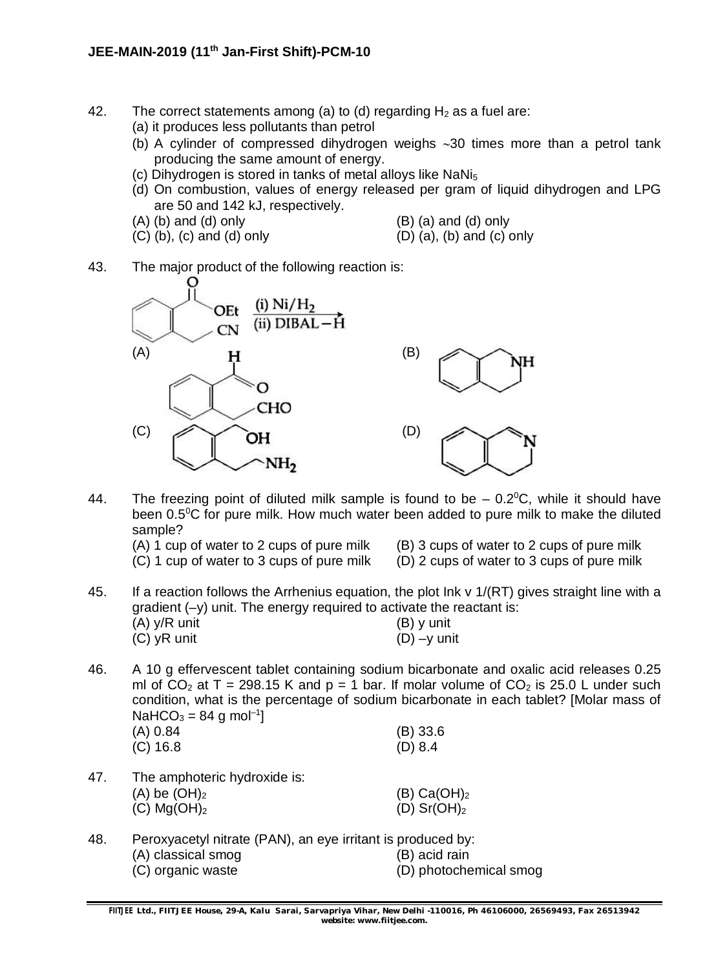- 42. The correct statements among (a) to (d) regarding  $H_2$  as a fuel are:
	- (a) it produces less pollutants than petrol
	- (b) A cylinder of compressed dihydrogen weighs  $\sim$  30 times more than a petrol tank producing the same amount of energy.
	- (c) Dihydrogen is stored in tanks of metal alloys like  $N_5$
	- (d) On combustion, values of energy released per gram of liquid dihydrogen and LPG are 50 and 142 kJ, respectively.
	- $(A)$  (b) and (d) only  $(B)$  (a) and (d) only
- - $(C)$  (b), (c) and (d) only  $(D)$  (a), (b) and (c) only
- 43. The major product of the following reaction is:



- 44. The freezing point of diluted milk sample is found to be  $-0.2$ °C, while it should have been  $0.5^{\circ}$ C for pure milk. How much water been added to pure milk to make the diluted sample?<br>(A) 1 cup of water to 2 cups of pure milk
	-
- $(B)$  3 cups of water to 2 cups of pure milk

н

- (C) 1 cup of water to 3 cups of pure milk (D) 2 cups of water to 3 cups of pure milk
- 
- 45. If a reaction follows the Arrhenius equation, the plot Ink v 1/(RT) gives straight line with a gradient (–y) unit. The energy required to activate the reactant is:  $(A)$  y/R unit (B) y unit  $(C)$  yR unit (D) –y unit
- 46. A 10 g effervescent tablet containing sodium bicarbonate and oxalic acid releases 0.25 ml of  $CO_2$  at T = 298.15 K and p = 1 bar. If molar volume of  $CO_2$  is 25.0 L under such condition, what is the percentage of sodium bicarbonate in each tablet? [Molar mass of  $NaHCO<sub>3</sub> = 84 g mol<sup>-1</sup>]$

| (A) 0.84   | $(B)$ 33.6 |
|------------|------------|
| $(C)$ 16.8 | (D) 8.4    |

- 47. The amphoteric hydroxide is:  $(A)$  be  $(OH)_2$  (B) Ca $(OH)_2$ (C)  $Mg(OH)_2$  (D) Sr(OH)<sub>2</sub>
- 48. Peroxyacetyl nitrate (PAN), an eye irritant is produced by: (A) classical smog (B) acid rain (C) organic waste (D) photochemical smog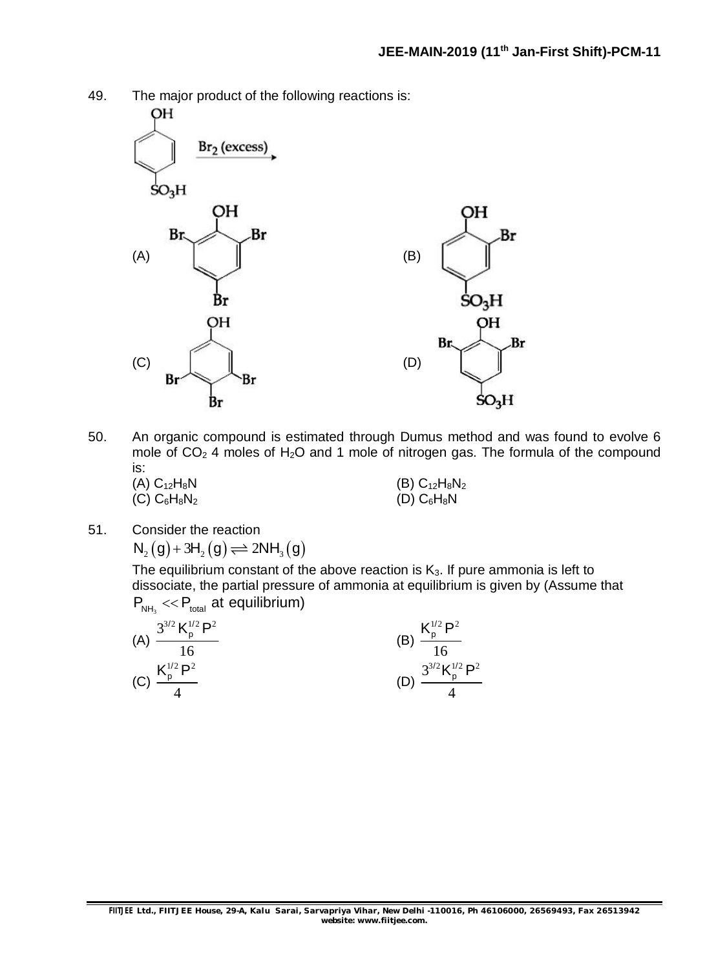



50. An organic compound is estimated through Dumus method and was found to evolve 6 mole of  $CO<sub>2</sub>$  4 moles of H<sub>2</sub>O and 1 mole of nitrogen gas. The formula of the compound is:

| (A) $C_{12}H_8N$ | $(B) C_{12}H_8N_2$ |
|------------------|--------------------|
| (C) $C_6H_8N_2$  | $(D)$ $C_6H_8N$    |

51. Consider the reaction  $N_2(g) + 3H_2(g) \rightleftharpoons 2NH_3(g)$ 

The equilibrium constant of the above reaction is  $K_3$ . If pure ammonia is left to dissociate, the partial pressure of ammonia at equilibrium is given by (Assume that  $P_{NH_3} \ll P_{total}$  at equilibrium)

| $3^{3/2}$ K <sup>1/2</sup> P <sup>2</sup><br>(A)                 | $\mathbf{V}^{1/2}$ D <sup>2</sup>                |
|------------------------------------------------------------------|--------------------------------------------------|
| $\mathbf{V}^{1/2}$ D <sup>2</sup><br>$\mathsf{R}_{\sf p}$<br>(C) | $3^{3/2}$ K <sub>2</sub> $^{1/2}$ P <sup>2</sup> |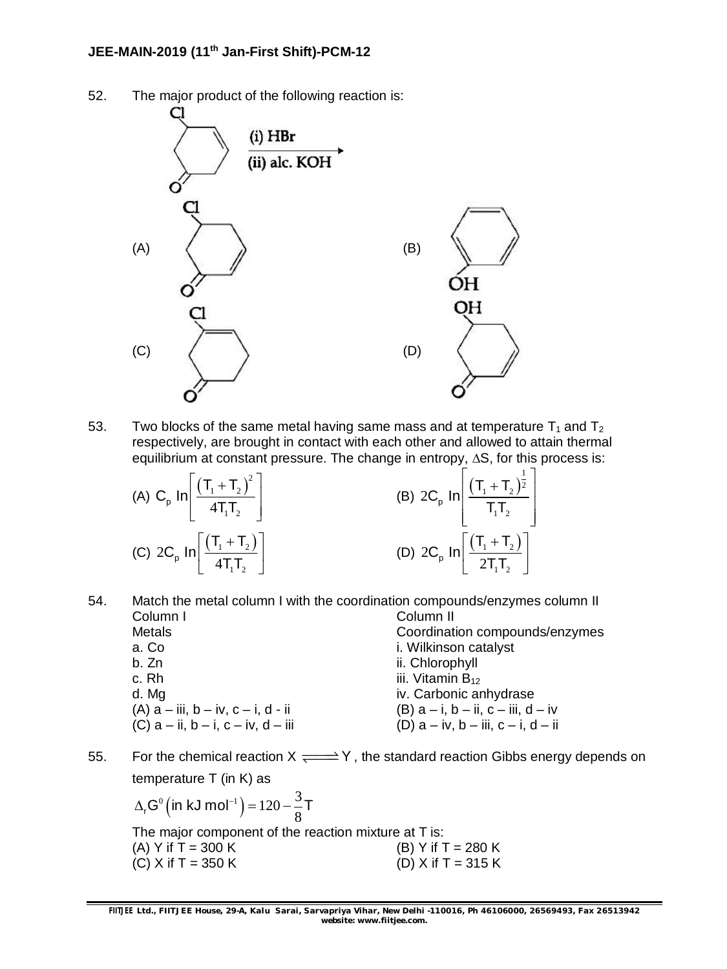

52. The major product of the following reaction is:

53. Two blocks of the same metal having same mass and at temperature  $T_1$  and  $T_2$ respectively, are brought in contact with each other and allowed to attain thermal equilibrium at constant pressure. The change in entropy,  $\Delta S$ , for this process is:

| (A) C <sub>p</sub> In $\left[\frac{(\text{T}_1 + \text{T}_2)^2}{4\text{T}_1\text{T}_2}\right]$ | (B) $2C_p \ln \left( \frac{(T_1 + T_2)^{\frac{1}{2}}}{T_1 T_2} \right)$ |
|------------------------------------------------------------------------------------------------|-------------------------------------------------------------------------|
| (C) $2C_p \ln \left[ \frac{(T_1 + T_2)}{4T_1T_2} \right]$                                      | (D) $2C_p \ln \left[ \frac{(T_1 + T_2)}{2T_1T_2} \right]$               |

- 54. Match the metal column I with the coordination compounds/enzymes column II Column I Column II Metals Coordination compounds/enzymes a. Co i. Wilkinson catalyst b. Zn ii. Chlorophyll c. Rh  $\frac{1}{11}$  c. Rh d. Mg iv. Carbonic anhydrase (A)  $a$  – iii,  $b$  – iv,  $c$  – i,  $d$  - ii<br>
(C)  $a$  – ii,  $b$  – i,  $c$  – iv,  $d$  – iii (D)  $a$  – iv,  $b$  – iii,  $c$  – i,  $d$  – ii (D)  $a - iv$ ,  $b - iii$ ,  $c - i$ ,  $d - ii$
- 55. For the chemical reaction  $X \rightleftharpoons Y$ , the standard reaction Gibbs energy depends on temperature T (in K) as

 $($ in kJ mol $^{-1})$  $^{0}$  (in kJ mol<sup>-1</sup>) = 120 -  $\frac{3}{2}$  $\Delta_r$ G $^0$ (in kJ mol<sup>-1</sup>) = 120 -  $\frac{3}{8}$ T The major component of the reaction mixture at T is: (A) Y if  $T = 300$  K (B) Y if  $T = 280$  K (C) X if T = 350 K (D) X if T = 315 K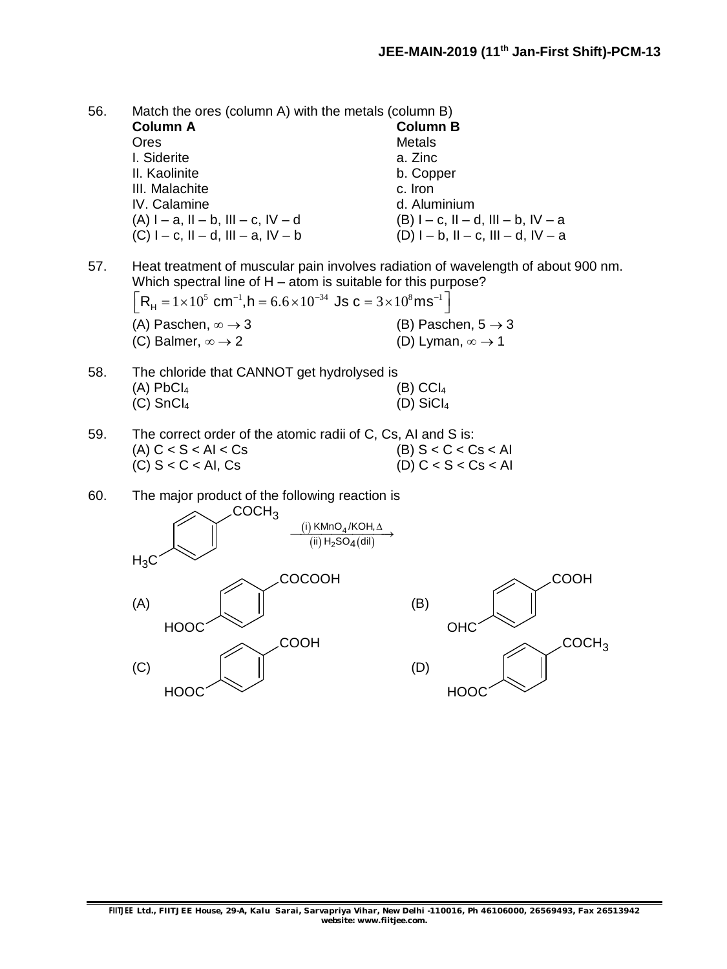COCH<sub>3</sub>

56. Match the ores (column A) with the metals (column B) **Column A Column B** Ores Metals I. Siderite **a.** Zinc II. Kaolinite b. Copper III. Malachite c. Iron IV. Calamine d. Aluminium<br>
(A)  $I - a$ ,  $II - b$ ,  $III - c$ ,  $IV - d$   $(B) I - c$ ,  $II - d$ ,  $III - b$ ,  $IV - a$  $(A) I - a$ ,  $II - b$ ,  $III - c$ ,  $IV - d$ (C)  $I - c$ ,  $II - d$ ,  $III - a$ ,  $IV - b$  (D)  $I - b$ ,  $II - c$ ,  $III - d$ ,  $IV - a$ 

57. Heat treatment of muscular pain involves radiation of wavelength of about 900 nm. Which spectral line of H – atom is suitable for this purpose?

| $R_{\rm H} = 1 \times 10^5$ cm <sup>-1</sup> , h = 6.6 × 10 <sup>-34</sup> Js c = 3 × 10 <sup>8</sup> ms <sup>-1</sup> |                                   |
|------------------------------------------------------------------------------------------------------------------------|-----------------------------------|
| (A) Paschen, $\infty \rightarrow 3$                                                                                    | (B) Paschen, $5 \rightarrow 3$    |
| (C) Balmer, $\infty \rightarrow 2$                                                                                     | (D) Lyman, $\infty \rightarrow 1$ |

- 58. The chloride that CANNOT get hydrolysed is  $(A)$  PbCl<sub>4</sub> (A)  $(C)$ <sub>4</sub>  $(C)$  SnCl<sub>4</sub> (D) SiCl<sub>4</sub>
- 59. The correct order of the atomic radii of C, Cs, AI and S is: (A)  $C < S < A I < Cs$ <br>
(C)  $S < C < A I$ ,  $Cs$ <br>
(C)  $S < C < A I$ ,  $Cs$ <br>
(D)  $C < S < Cs < AI$ (D)  $C < S < Cs < AI$
- 60. The major product of the following reaction is

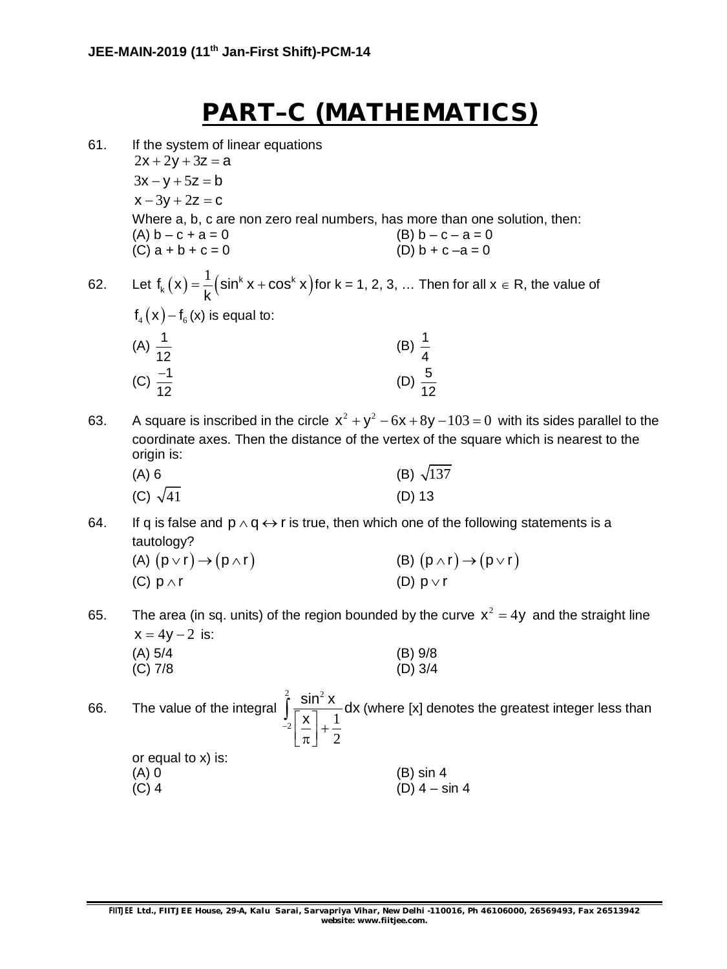## **PART–C (MATHEMATICS)**

- 61. If the system of linear equations  $2x + 2y + 3z = a$  $3x - y + 5z = b$  $x - 3y + 2z = c$ Where a, b, c are non zero real numbers, has more than one solution, then: (A)  $b - c + a = 0$ <br>
(C)  $a + b + c = 0$ <br>
(B)  $b - c - a = 0$ <br>
(D)  $b + c - a = 0$  $(C)$  a + b + c = 0
- 62. Let  $f_k(x) = \frac{1}{k}(\sin^k x + \cos^k x)$  $1$  (cin<sup>k</sup> x + cos<sup>k</sup>)  $f_{k}(x) = \frac{1}{k} (\sin^{k} x + \cos^{k} x)$ k  $f = -\frac{1}{2}$  (sin<sup>k</sup> x + cos<sup>k</sup> x ) for k = 1, 2, 3, ... Then for all x  $\in$  R, the value of  $f_{4} (x) - f_{6} (x)$  is equal to:

| $\cdots$<br>$\sim$  |                    |
|---------------------|--------------------|
|                     | (B) $\frac{1}{4}$  |
| (A) $\frac{1}{12}$  |                    |
| (C) $\frac{-1}{12}$ | (D) $\frac{5}{12}$ |
|                     |                    |

63. A square is inscribed in the circle  $x^2 + y^2 - 6x + 8y - 103 = 0$  with its sides parallel to the coordinate axes. Then the distance of the vertex of the square which is nearest to the origin is:

| (A) 6           | (B) $\sqrt{137}$ |
|-----------------|------------------|
| (C) $\sqrt{41}$ | $(D)$ 13         |

64. If q is false and  $p \wedge q \leftrightarrow r$  is true, then which one of the following statements is a tautology?<br>(A)  $(n \vee r)$ 

| (A) $(p \vee r) \rightarrow (p \wedge r)$ | (B) $(p \wedge r) \rightarrow (p \vee r)$ |
|-------------------------------------------|-------------------------------------------|
| (C) $p \wedge r$                          | (D) $p \vee r$                            |

65. The area (in sq. units) of the region bounded by the curve  $x^2 = 4y$  and the straight line  $x = 4v - 2$  is:

(A) 
$$
5/4
$$
 (B)  $9/8$   
(C)  $7/8$  (D)  $3/4$ 

66. The value of the integral <sup>2</sup>  $\sin^2$  $\left| \frac{\mathsf{x}}{2} \right| = \frac{1}{2}$ 2  $\frac{\sin^2 x}{1}$ dx  $\frac{J}{2} \left[ \frac{\mathsf{x}}{\pi} \right] +$  $\int \frac{\sin \theta}{\sqrt{x}} dx$  (where [x] denotes the greatest integer less than or equal to x) is: (A) 0 (B) sin 4  $(C)$  4 – sin 4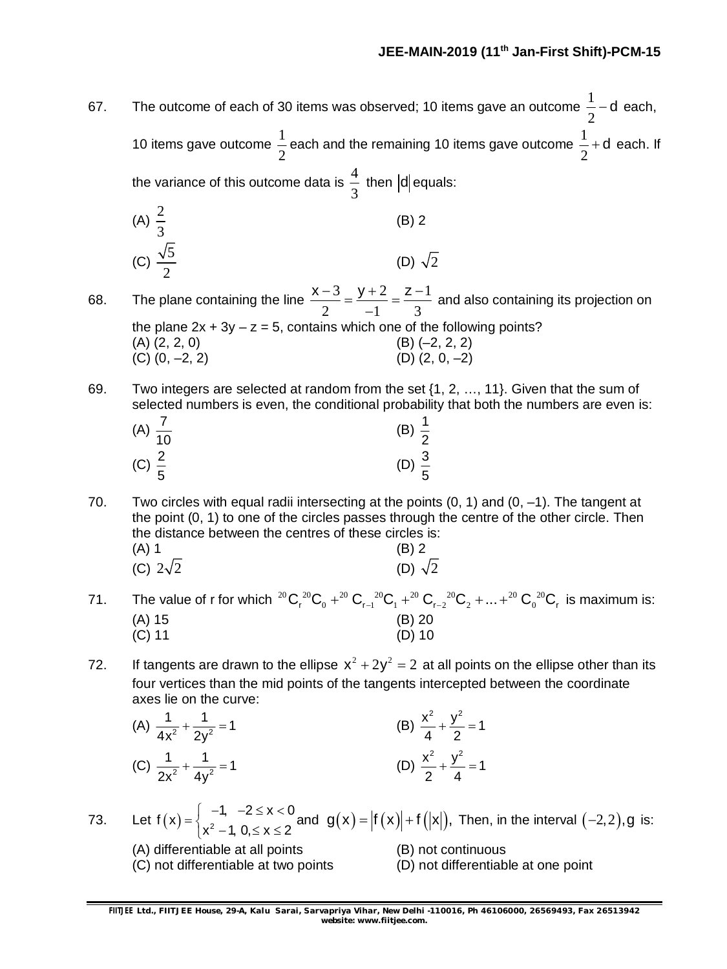67. The outcome of each of 30 items was observed; 10 items gave an outcome  $\frac{1}{\varsigma}$ 2 d each, 10 items gave outcome  $\frac{1}{2}$ 2 each and the remaining 10 items gave outcome  $\frac{1}{3}$ 2  $+$  d each. If the variance of this outcome data is  $\frac{4}{5}$ 3 then  $|d|$  equals: (A)  $\frac{2}{5}$ 3 (B) 2 (C)  $\frac{\sqrt{5}}{2}$ 2 (D)  $\sqrt{2}$ 68. The plane containing the line  $\frac{x-3}{2} = \frac{y+2}{1} = \frac{z-1}{3}$ 2  $-1$  3  $\frac{x-3}{2} = \frac{y+2}{4} = \frac{z-1}{2}$ <sup>-</sup> and also containing its projection on the plane  $2x + 3y - z = 5$ , contains which one of the following points?  $(A)$   $(2, 2, 0)$   $(B)$   $(-2, 2, 2)$ (C)  $(0, -2, 2)$  (D)  $(2, 0, -2)$ 69. Two integers are selected at random from the set {1, 2, …, 11}. Given that the sum of selected numbers is even, the conditional probability that both the numbers are even is: (A)  $\frac{7}{16}$ 10 (B)  $\frac{1}{2}$ 2 (C)  $\frac{2}{5}$ 5 (D)  $\frac{3}{5}$ 5 70. Two circles with equal radii intersecting at the points  $(0, 1)$  and  $(0, -1)$ . The tangent at the point (0, 1) to one of the circles passes through the centre of the other circle. Then the distance between the centres of these circles is:  $(A) 1$  (B) 2 (C)  $2\sqrt{2}$  (D)  $\sqrt{2}$ 71. The value of r for which  $^{20}{\rm C}_{\rm r}$   $^{20}{\rm C}_{\rm 0}$   $+^{20}{\rm C}_{\rm r-1}$   $^{20}{\rm C}_{\rm r}$   $^{20}{\rm C}_{\rm 2}$   $+...$   $^{20}{\rm C}_{\rm 0}$   $^{20}{\rm C}_{\rm r}$  is maximum is: (A) 15 (B) 20<br>(C) 11 (D) 10  $(C)$  11 72. If tangents are drawn to the ellipse  $x^2 + 2y^2 = 2$  at all points on the ellipse other than its four vertices than the mid points of the tangents intercepted between the coordinate axes lie on the curve: (A)  $\frac{1}{4x^2} + \frac{1}{2x^2} = 1$ 4 $x^2$  2y  $+\frac{1}{2} = 1$  (B)  $\frac{x^2}{1} + \frac{y^2}{2} = 1$ 4 2  $+\frac{y}{2}=1$ (C)  $\frac{1}{2x^2} + \frac{1}{4x^2} = 1$ 2x $^2$  4y  $+\frac{1}{\sqrt{2}}=1$  (D)  $\frac{x^2}{2} + \frac{y^2}{4} = 1$ 2 4  $+\frac{y}{4}=1$ 73. Let  $f(x) = \begin{cases} -1 & -2 \le x < 0 \\ x^2 & 1 \le x \le 2 \end{cases}$  and  $x^2 - 1$ ,  $0 \le x \le 2$  $=\begin{cases} -1, & -2 \leq x < 0 \\ x^2, & 1, 0 \leq x < 2 \end{cases}$  $\left[ x^2 - 1, 0, \le x \le 2 \right]$  $\mathsf{g}(\mathsf{x})$  =  $|\mathsf{f}\left(\mathsf{x}\right)|$  +  $\mathsf{f}\left(|\mathsf{x}|\right)$ , Then, in the interval  $(-2, 2),$ g is: (A) differentiable at all points (B) not continuous (C) not differentiable at two points (D) not differentiable at one point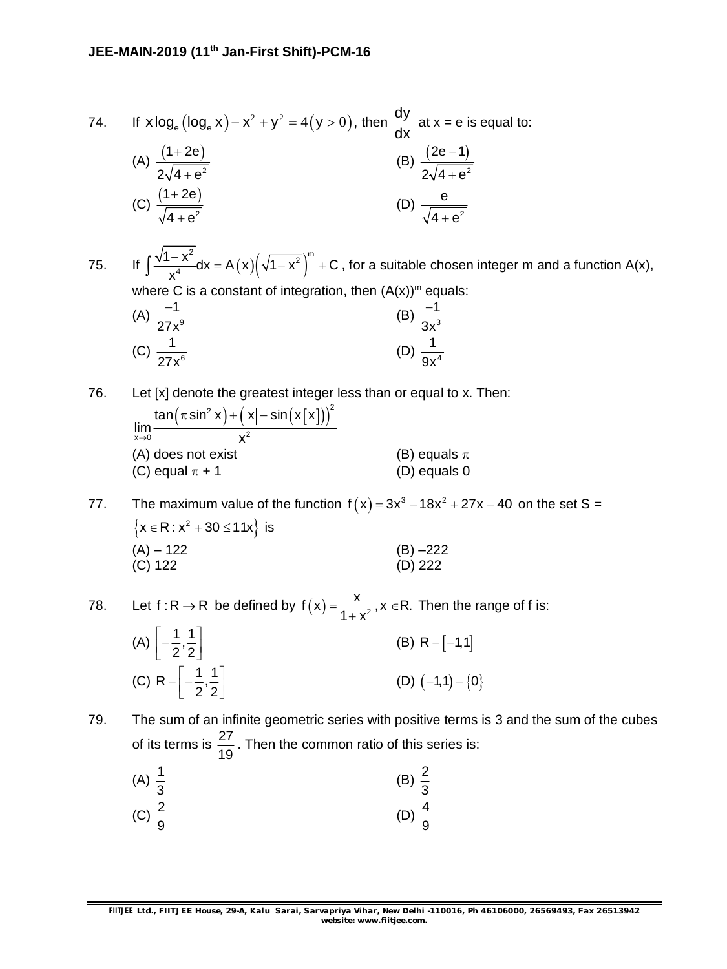74. If 
$$
x \log_e (\log_e x) - x^2 + y^2 = 4(y > 0)
$$
, then  $\frac{dy}{dx}$  at  $x = e$  is equal to:  
\n(A)  $\frac{(1+2e)}{2\sqrt{4+e^2}}$   
\n(B)  $\frac{(2e-1)}{2\sqrt{4+e^2}}$   
\n(C)  $\frac{(1+2e)}{\sqrt{4+e^2}}$   
\n(D)  $\frac{e}{\sqrt{4+e^2}}$ 

75. If  $\int \frac{\sqrt{1-x^2}}{x^4} dx = A(x) (\sqrt{1-x^2})$  $2^{2}$ <br>dy =  $\Lambda(x)\left(\sqrt{1-x^{2}}\right)^{m}$  $\int \frac{1-x^2}{x^4} dx = A(x) (\sqrt{1-x^2})^m + C$ x  $\int \frac{\sqrt{1-x^2}}{x^4} dx = A(x) (\sqrt{1-x^2})^m + C$ , for a suitable chosen integer m and a function A(x), where C is a constant of integration, then  $(A(x))^m$  equals:

(A) 
$$
\frac{-1}{27x^9}
$$
 (B)  $\frac{-1}{3x^3}$   
(C)  $\frac{1}{27x^6}$  (D)  $\frac{1}{9x^4}$ 

76. Let [x] denote the greatest integer less than or equal to x. Then:

 $\left(\pi\sin^2\mathsf{x}\right) + \left(|\mathsf{x}| - \sin\big(\mathsf{x}\big[\mathsf{x}\big]\right)\right)^2$  $x \rightarrow 0$   $X^2$  $\tan (\pi \sin^2 x) + (|\mathsf{x}| - \sin ( \mathsf{x} | \mathsf{x})).$  $\lim_{x\to 0} \frac{1}{\sqrt{1-x}}$  $\pi$  sin $^2$  x  $)+(|$ x $|-$ s (A) does not exist (B) equals  $\pi$ (C) equal  $\pi$  + 1 (D) equals 0

77. The maximum value of the function  $f(x) = 3x^3 - 18x^2 + 27x - 40$  on the set S =  $\left\{x \in \mathsf{R}: x^2 + 30 \leq 11x\right\}$  is  $(A) - 122$  (B) –222 (C) 122 (D) 222

78. Let  $f: R \to R$  be defined by  $f(x) = \frac{x}{1+x^2}$ ,  $x \in R$ .  $1 + x^2$  $=\frac{1}{2}, x \in F$  $^{+}$ Then the range of f is:

| (A) $\left[-\frac{1}{2},\frac{1}{2}\right]$    | (B) R $-[-1,1]$      |
|------------------------------------------------|----------------------|
| (C) R $-\left[-\frac{1}{2},\frac{1}{2}\right]$ | (D) $(-1,1) - \{0\}$ |

79. The sum of an infinite geometric series with positive terms is 3 and the sum of the cubes of its terms is  $\frac{27}{12}$ 19 . Then the common ratio of this series is:

| (A) $\frac{1}{3}$ | (B) $\frac{2}{3}$ |
|-------------------|-------------------|
| (C) $\frac{2}{9}$ | (D) $\frac{4}{9}$ |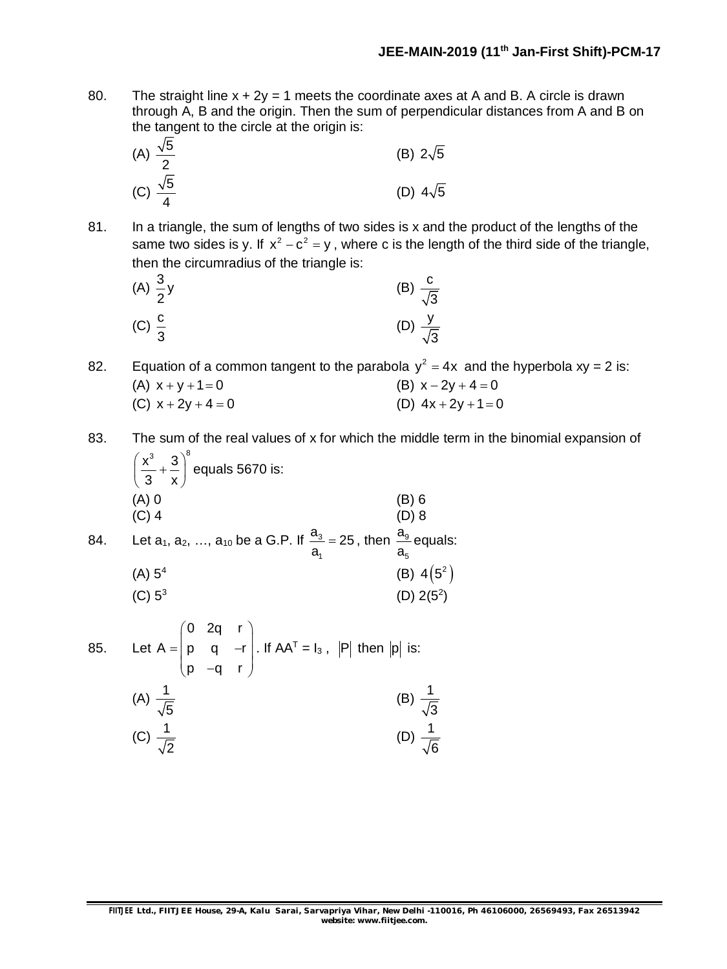80. The straight line  $x + 2y = 1$  meets the coordinate axes at A and B. A circle is drawn through A, B and the origin. Then the sum of perpendicular distances from A and B on the tangent to the circle at the origin is:

(A) 
$$
\frac{\sqrt{5}}{2}
$$
 (B)  $2\sqrt{5}$   
(C)  $\frac{\sqrt{5}}{4}$  (D)  $4\sqrt{5}$ 

81. In a triangle, the sum of lengths of two sides is x and the product of the lengths of the same two sides is y. If  $x^2 - c^2 = y$ , where c is the length of the third side of the triangle, then the circumradius of the triangle is:

(A) 
$$
\frac{3}{2}y
$$
 (B)  $\frac{c}{\sqrt{3}}$   
(C)  $\frac{c}{3}$  (D)  $\frac{y}{\sqrt{3}}$ 

82. Equation of a common tangent to the parabola  $y^2 = 4x$  and the hyperbola xy = 2 is: (A)  $x + y + 1 = 0$  (B)  $x - 2y + 4 = 0$ (C)  $x + 2y + 4 = 0$  (D)  $4x + 2y + 1 = 0$ 

- 83. The sum of the real values of x for which the middle term in the binomial expansion of  $x^3$  3)<sup>8</sup>  $\left(\frac{x^3}{3} + \frac{3}{x}\right)^9$  $(3 \times)$ equals 5670 is:
	- (A) 0 (B) 6 (C) 4 (D) 8  $(C)$  4 (D) 8 a
- 84. Let a<sub>1</sub>, a<sub>2</sub>, ..., a<sub>10</sub> be a G.P. If  $\frac{a_3}{a_3}$ 1  $\frac{a_3}{a_3} = 25$ a = 25 , then  $\frac{\mu_{9}}{2}$ 5 a equals:

(A) 
$$
5^4
$$
 (B)  $4(5^2)$   
(C)  $5^3$  (D)  $2(5^2)$ 

85. Let 0 2q r  $A = |p q - r|$ p q r  $\begin{pmatrix} 0 & 2q & r \\ r & q & r \end{pmatrix}$  $=\begin{pmatrix} p & q & -r \\ p & -q & r \end{pmatrix}$ . If AA<sup>T</sup> = I<sub>3</sub>,  $|P|$  then  $|p|$  is: (A)  $\frac{1}{\sqrt{2}}$ 5 (B)  $\frac{1}{6}$ (C)  $\frac{1}{\sqrt{2}}$ (D)  $\frac{1}{\sqrt{2}}$ 

2

3

6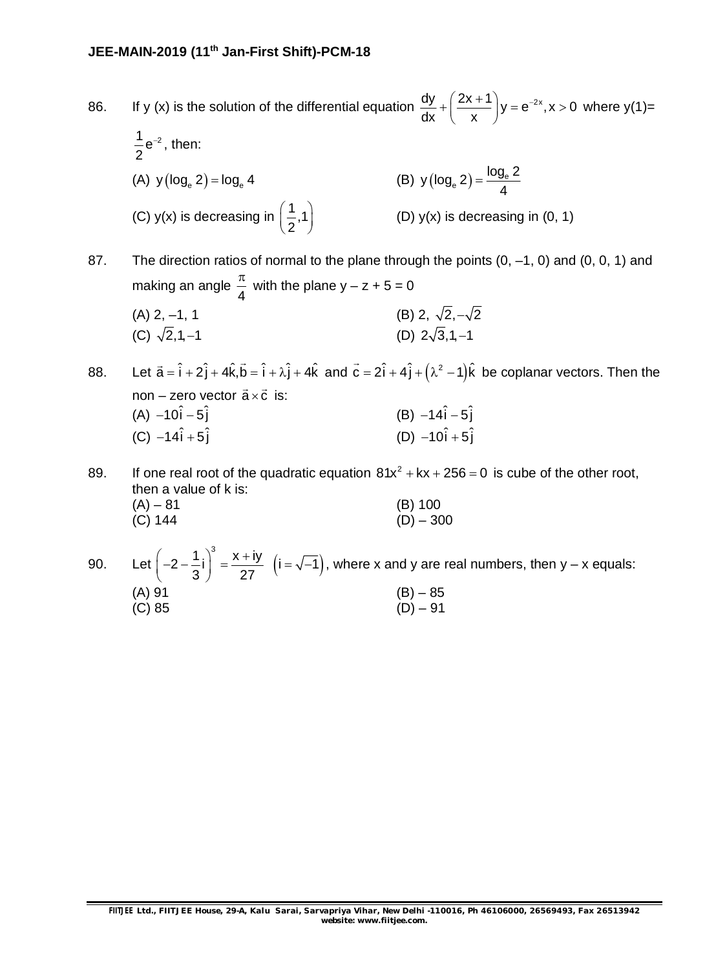#### **JEE-MAIN-2019 (11th Jan-First Shift)-PCM-18**

86. If y (x) is the solution of the differential equation  $\frac{dy}{dx} + \left(\frac{2x+1}{y}\right)y = e^{-2x}, x > 0$  $dx$   $\chi$  $+\left(\frac{2x+1}{x}\right)y = e^{-2x}, x > 0$  where y(1)=  $\frac{1}{2}e^{-2}$ 2  $^{-2}$ , then: (A)  $y (log_e 2) = log_e 4$  $y(\log_e 2) = \frac{\log_e 2}{4}$ 4  $=$ (C) y(x) is decreasing in  $\left(\frac{1}{2},1\right)$ 2 (D)  $y(x)$  is decreasing in  $(0, 1)$ 

87. The direction ratios of normal to the plane through the points  $(0, -1, 0)$  and  $(0, 0, 1)$  and making an angle 4  $\frac{\pi}{4}$  with the plane y – z + 5 = 0 (A) 2, -1, 1 (B) 2,  $\sqrt{2}, -\sqrt{2}$ (C)  $\sqrt{2}$ , 1, -1 (D)  $2\sqrt{3}$ , 1, -1

88. Let  $\vec{a} = \hat{i} + 2\hat{j} + 4\hat{k}$ ,  $\vec{b} = \hat{i} + \lambda \hat{j} + 4\hat{k}$ and  $\vec{c} = 2\hat{i} + 4\hat{j} + (\lambda^2 - 1)\hat{k}$ be coplanar vectors. Then the non – zero vector  $\vec{a} \times \vec{c}$  is: (A)  $-10\hat{i} - 5\hat{i}$  (B)  $-14\hat{i} - 5\hat{i}$ (C)  $-14\hat{i} + 5\hat{j}$  (D)  $-10\hat{i} + 5\hat{j}$ 

89. If one real root of the quadratic equation  $81x^2 + kx + 256 = 0$  is cube of the other root, then a value of k is:  $(A) - 81$  (B) 100  $(C)$  144 (D) – 300

90. Let  $|-2-\frac{1}{2}| = \frac{2+1}{2}$   $(i = \sqrt{-1})$ .  $\left(2-\frac{1}{2}i\right)^3 = \frac{x+iy}{2i} \left(i=\sqrt{-1}\right)$ 3 27  $\left(-2-\frac{1}{3}i\right)^{9}=\frac{x+iy}{27}$   $\left(i=\sqrt{-1}\right)$ , where x and y are real numbers, then y – x equals: (A) 91 (B) – 85  $(C) 85$  (D) – 91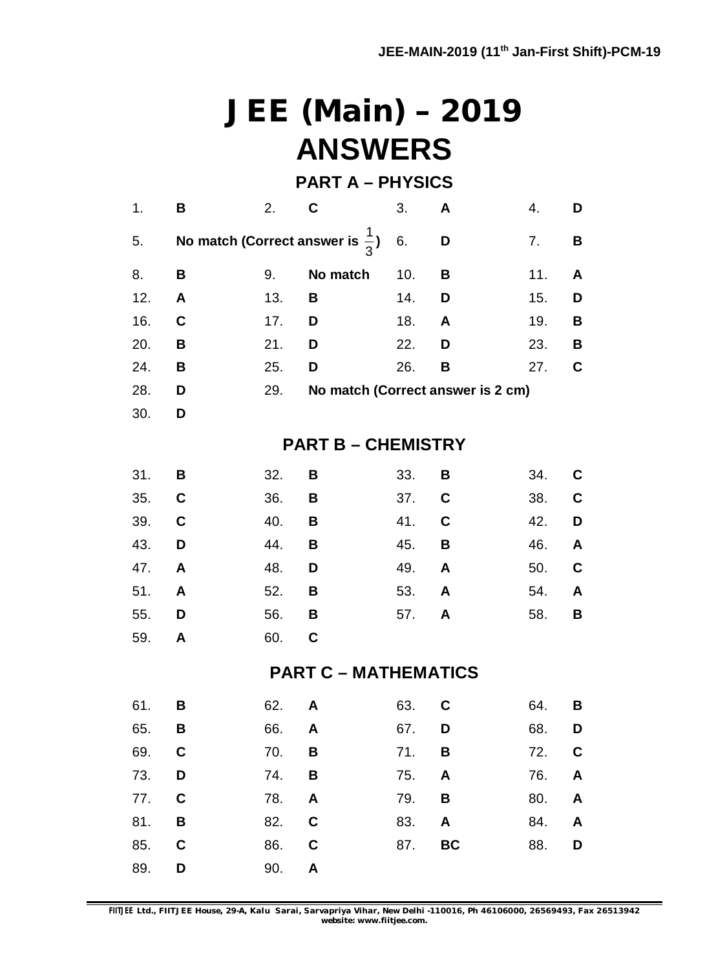# **JEE (Main) – 2019 ANSWERS**

### **PART A – PHYSICS**

| 1.  | B           | 2.  | C                                           | 3.  | A         | 4.  | D |
|-----|-------------|-----|---------------------------------------------|-----|-----------|-----|---|
| 5.  |             |     | No match (Correct answer is $\frac{1}{3}$ ) | 6.  | D         | 7.  | В |
| 8.  | B           | 9.  | No match                                    | 10. | B         | 11. | A |
| 12. | A           | 13. | В                                           | 14. | D         | 15. | D |
| 16. | C           | 17. | D                                           | 18. | A         | 19. | В |
| 20. | В           | 21. | D                                           | 22. | D         | 23. | B |
| 24. | В           | 25. | D                                           | 26. | B         | 27. | C |
| 28. | D           | 29. | No match (Correct answer is 2 cm)           |     |           |     |   |
| 30. | D           |     |                                             |     |           |     |   |
|     |             |     | <b>PART B-CHEMISTRY</b>                     |     |           |     |   |
| 31. | В           | 32. | В                                           | 33. | В         | 34. | C |
| 35. | C           | 36. | В                                           | 37. | C         | 38. | C |
| 39. | $\mathbf c$ | 40. | В                                           | 41. | C         | 42. | D |
| 43. | D           | 44. | В                                           | 45. | B         | 46. | A |
| 47. | A           | 48. | D                                           | 49. | A         | 50. | C |
| 51. | A           | 52. | B                                           | 53. | A         | 54. | A |
| 55. | D           | 56. | B                                           | 57. | A         | 58. | B |
| 59. | A           | 60. | C                                           |     |           |     |   |
|     |             |     | <b>PART C - MATHEMATICS</b>                 |     |           |     |   |
| 61. | В           | 62. | A                                           | 63. | C         | 64. | В |
| 65. | В           | 66. | A                                           | 67. | D         | 68. | D |
| 69. | C           | 70. | В                                           | 71. | В         | 72. | C |
| 73. | D           | 74. | B                                           | 75. | A         | 76. | A |
| 77. | $\mathbf C$ | 78. | A                                           | 79. | B         | 80. | A |
| 81. | B           | 82. | $\mathbf C$                                 | 83. | A         | 84. | A |
| 85. | C           | 86. | $\mathbf C$                                 | 87. | <b>BC</b> | 88. | D |
| 89. | D           | 90. | A                                           |     |           |     |   |

**FIITJEE** *Ltd., FIITJEE House, 29-A, Kalu Sarai, Sarvapriya Vihar, New Delhi -110016, Ph 46106000, 26569493, Fax 26513942 website: [www.fiitjee.com.](http://www.fiitjee.com.)*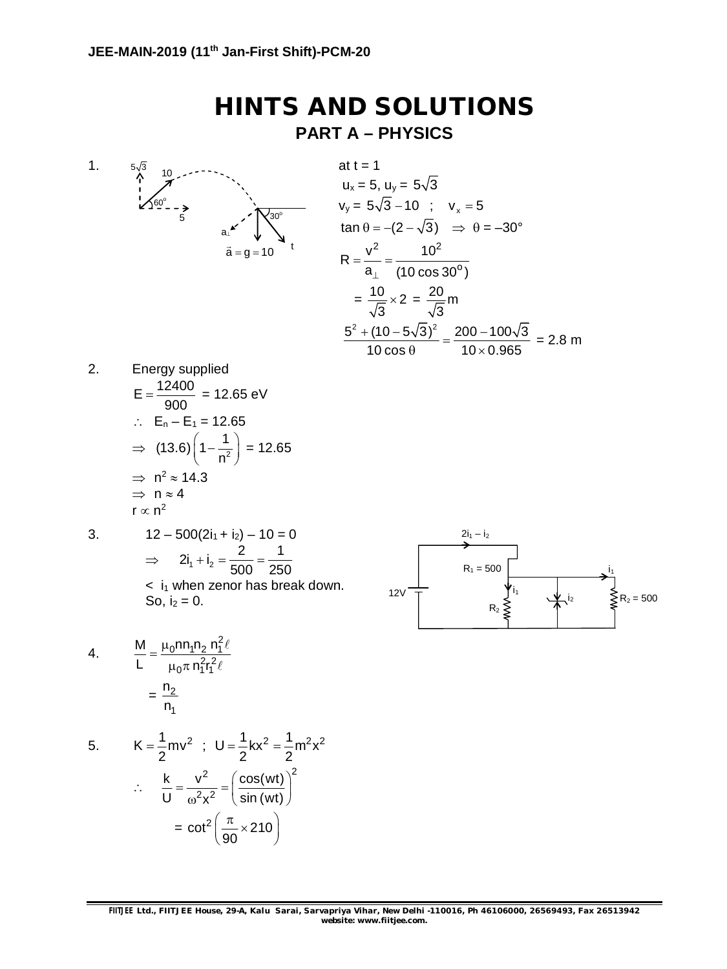### **HINTS AND SOLUTIONS PART A – PHYSICS**

1.  $'30^\circ$ 10  $60^{\circ}$  $a_{\perp}$ t  $\vec{a} = \vec{g} = 10$  $5\sqrt{3}$ 5

at t = 1  
\nu<sub>x</sub> = 5, u<sub>y</sub> = 5
$$
\sqrt{3}
$$
  
\nv<sub>y</sub> = 5 $\sqrt{3}$  - 10 ; v<sub>x</sub> = 5  
\ntan  $\theta$  = -(2 -  $\sqrt{3}$ )  $\Rightarrow \theta$  = -30°  
\n
$$
R = \frac{v^2}{a_{\perp}} = \frac{10^2}{(10 \cos 30^\circ)}
$$
\n
$$
= \frac{10}{\sqrt{3}} \times 2 = \frac{20}{\sqrt{3}}m
$$
\n
$$
\frac{5^2 + (10 - 5\sqrt{3})^2}{10 \cos \theta} = \frac{200 - 100\sqrt{3}}{10 \times 0.965} = 2.8 m
$$

2. Energy supplied  $E = \frac{12400}{200}$ 900  $=\frac{12.68}{0.08}$  = 12.65 eV  $\therefore$  E<sub>n</sub> – E<sub>1</sub> = 12.65  $\Rightarrow$  (13.6)  $\left(1-\frac{1}{n^2}\right)$ n  $\left(1 - \frac{1}{n^2}\right) = 12.65$ 

$$
\Rightarrow n^2 \approx 14.3
$$
  
\n
$$
\Rightarrow n \approx 4
$$
  
\n
$$
r \propto n^2
$$

3. 
$$
12 - 500(2i_1 + i_2) - 10 = 0
$$
  
\n $\Rightarrow 2i_1 + i_2 = \frac{2}{500} = \frac{1}{250}$   
\n $\leq i_1$  when zero has break down.  
\nSo,  $i_2 = 0$ .

$$
12V
$$
  $R_1 = 500$   $h_1$   $h_2$   $h_3$   $h_4$   $h_5$   $R_2 = 500$ 

4. 
$$
\frac{M}{L} = \frac{\mu_0 n n_1 n_2 n_1^2 \ell}{\mu_0 \pi n_1^2 r_1^2 \ell} = \frac{n_2}{n_1}
$$

5. 
$$
K = \frac{1}{2}mv^{2} \; ; \; U = \frac{1}{2}kx^{2} = \frac{1}{2}m^{2}x^{2}
$$

$$
\therefore \; \frac{k}{U} = \frac{v^{2}}{\omega^{2}x^{2}} = \left(\frac{\cos(wt)}{\sin(wt)}\right)^{2}
$$

$$
= \cot^{2}\left(\frac{\pi}{90} \times 210\right)
$$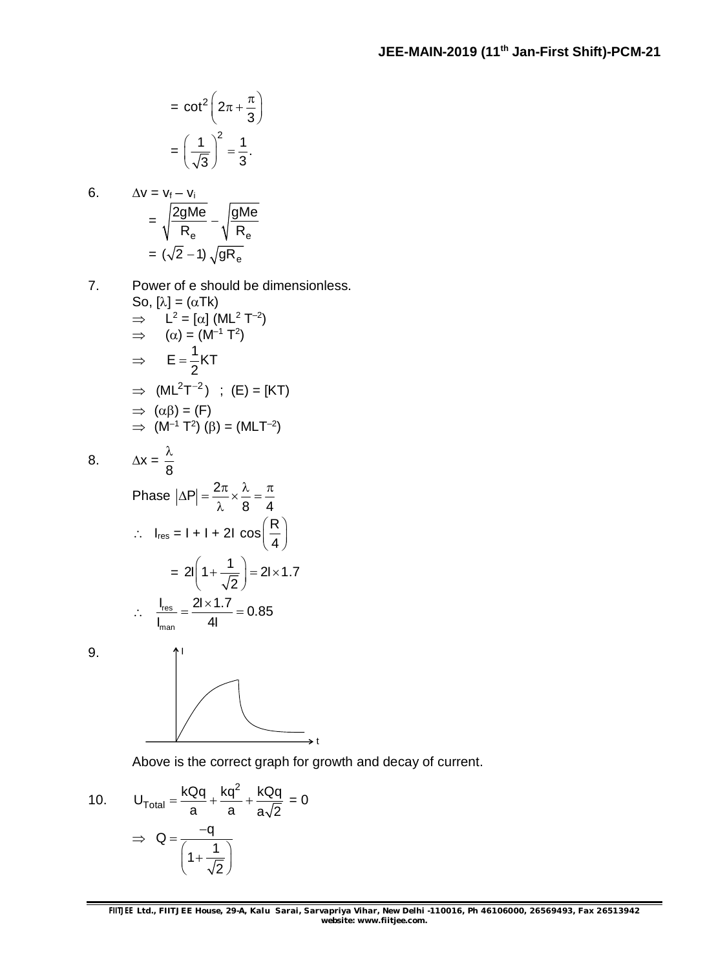$$
= \cot^2 \left(2\pi + \frac{\pi}{3}\right)
$$

$$
= \left(\frac{1}{\sqrt{3}}\right)^2 = \frac{1}{3}.
$$

6. 
$$
\Delta v = v_{f} - v_{i}
$$

$$
= \sqrt{\frac{2gMe}{R_{e}}} - \sqrt{\frac{gMe}{R_{e}}}
$$

$$
= (\sqrt{2} - 1) \sqrt{gR_{e}}
$$

8 λ

7. Power of e should be dimensionless. So,  $[\lambda] = (\alpha Tk)$  $\Rightarrow$  L<sup>2</sup> = [ $\alpha$ ] (ML<sup>2</sup> T<sup>-2</sup>)  $\Rightarrow$  ( $\alpha$ ) = (M<sup>-1</sup> T<sup>2</sup>)  $\Rightarrow$  E =  $\frac{1}{2}$ KT 2  $=$  $\Rightarrow$  (ML<sup>2</sup>T<sup>-2</sup>) ; (E) = [KT)  $\Rightarrow$   $(\alpha \beta) = (F)$  $\implies$  (M<sup>-1</sup> T<sup>2</sup>) ( $\beta$ ) = (MLT<sup>-2</sup> ) and the set of  $\overline{a}$ 

$$
8. \qquad \Delta x =
$$

Phase 
$$
|\Delta P| = \frac{2\pi}{\lambda} \times \frac{\lambda}{8} = \frac{\pi}{4}
$$
  
\n
$$
\therefore I_{res} = 1 + 1 + 21 \cos\left(\frac{R}{4}\right)
$$
\n
$$
= 21\left(1 + \frac{1}{\sqrt{2}}\right) = 21 \times 1.7
$$
\n
$$
\therefore \frac{I_{res}}{I_{man}} = \frac{21 \times 1.7}{41} = 0.85
$$

 $9<sub>1</sub>$ 



Above is the correct graph for growth and decay of current.

10. 
$$
U_{\text{Total}} = \frac{kQq}{a} + \frac{kq^2}{a} + \frac{kQq}{a\sqrt{2}} = 0
$$

$$
\Rightarrow Q = \frac{-q}{\left(1 + \frac{1}{\sqrt{2}}\right)}
$$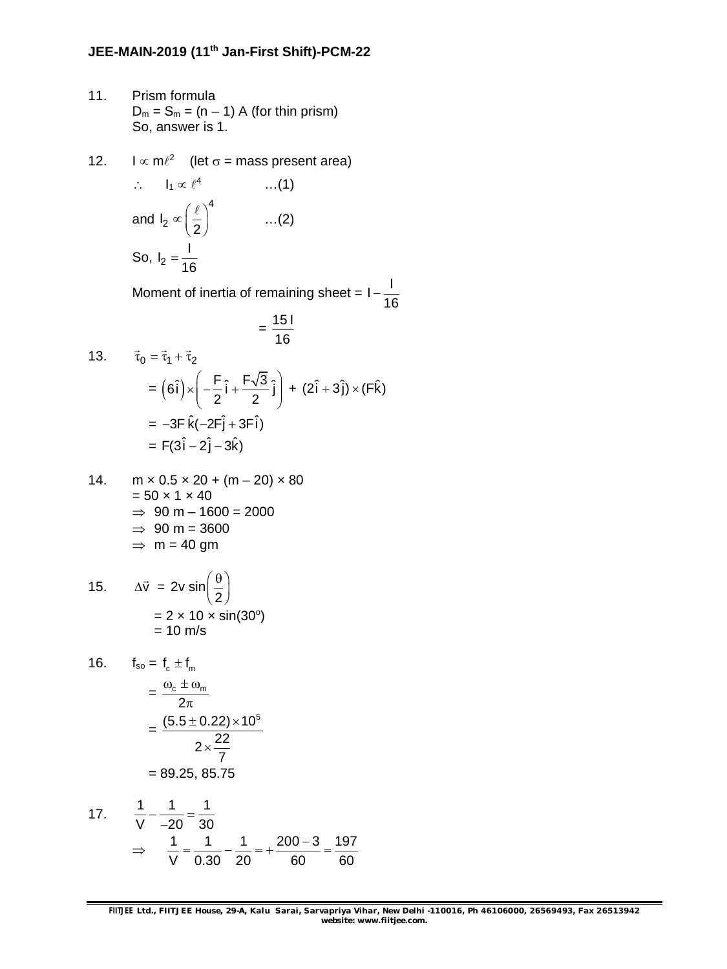- 11. Prism formula  $D_m = S_m = (n-1)$  A (for thin prism) So, answer is 1.
- 12.  $\log m \ell^2$  (let  $\sigma$  = mass present area)

$$
\therefore I_1 \propto \ell^4 \qquad \qquad ...(1)
$$
  
and  $I_2 \propto \left(\frac{\ell}{2}\right)^4 \qquad \qquad ...(2)$   
So,  $I_2 = \frac{1}{16}$ 

Moment of inertia of remaining sheet =  $1-\frac{1}{11}$ 16 -

$$
=\frac{151}{16}
$$

13. 
$$
\vec{\tau}_0 = \vec{\tau}_1 + \vec{\tau}_2
$$
  
\n
$$
= (6\hat{i}) \times \left( -\frac{F}{2} \hat{i} + \frac{F\sqrt{3}}{2} \hat{i} \right) + (2\hat{i} + 3\hat{j}) \times (F\hat{k})
$$
\n
$$
= -3F \hat{k}(-2F\hat{j} + 3F\hat{i})
$$
\n
$$
= F(3\hat{i} - 2\hat{j} - 3\hat{k})
$$

14. 
$$
m \times 0.5 \times 20 + (m - 20) \times 80
$$

$$
= 50 \times 1 \times 40
$$

$$
\Rightarrow 90 m - 1600 = 2000
$$

$$
\Rightarrow 90 m = 3600
$$

$$
\Rightarrow m = 40 gm
$$

15. 
$$
\Delta \vec{v} = 2v \sin\left(\frac{\theta}{2}\right)
$$

$$
= 2 \times 10 \times \sin(30^\circ)
$$

$$
= 10 \text{ m/s}
$$

16. 
$$
f_{so} = f_c \pm f_m
$$

$$
= \frac{\omega_c \pm \omega_m}{2\pi}
$$

$$
= \frac{(5.5 \pm 0.22) \times 10^5}{2 \times \frac{22}{7}}
$$

$$
= 89.25, 85.75
$$

17. 
$$
\frac{1}{V} - \frac{1}{-20} = \frac{1}{30}
$$

$$
\Rightarrow \frac{1}{V} = \frac{1}{0.30} - \frac{1}{20} = +\frac{200 - 3}{60} = \frac{197}{60}
$$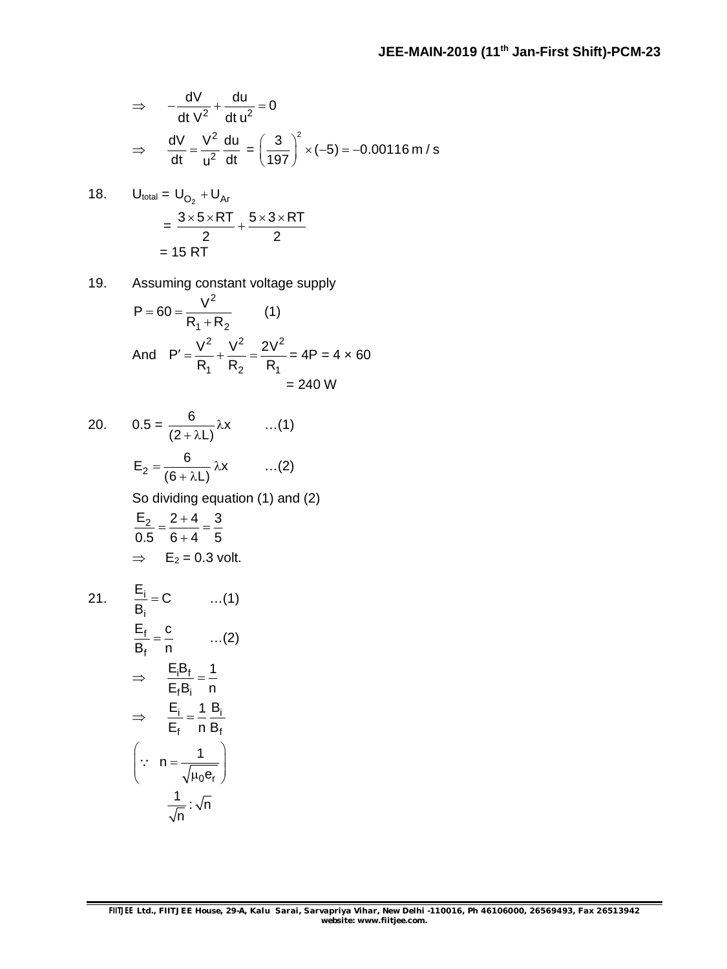$$
\Rightarrow -\frac{dV}{dt}v^2 + \frac{du}{dt}u^2 = 0
$$
  

$$
\Rightarrow \frac{dV}{dt} = \frac{V^2}{u^2} \frac{du}{dt} = \left(\frac{3}{197}\right)^2 \times (-5) = -0.00116 \text{ m/s}
$$

18. 
$$
U_{total} = U_{O_2} + U_{Ar}
$$
  
=  $\frac{3 \times 5 \times RT}{2} + \frac{5 \times 3 \times RT}{2}$   
= 15 RT

19. Assuming constant voltage supply  $V^2$  $(1)$ 

$$
P = 60 = \frac{V}{R_1 + R_2}
$$
\n
$$
P' = \frac{V^2}{R_1} + \frac{V^2}{R_2} = \frac{2V^2}{R_1} = 4P = 4 \times 60
$$
\n
$$
= 240 \text{ W}
$$

20. 
$$
0.5 = \frac{6}{(2 + \lambda L)} \lambda x
$$
 ...(1)  
 $E_2 = \frac{6}{(6 + \lambda L)} \lambda x$  ...(2)

So dividing equation (1) and (2)

$$
\frac{E_2}{0.5} = \frac{2+4}{6+4} = \frac{3}{5}
$$
  
\n
$$
\Rightarrow E_2 = 0.3 \text{ volt.}
$$

 $21.$ 

$$
\frac{E_i}{B_i} = C \qquad \dots(1)
$$
\n
$$
\frac{E_f}{B_f} = \frac{c}{n} \qquad \dots(2)
$$
\n
$$
\Rightarrow \qquad \frac{E_i B_f}{E_f B_i} = \frac{1}{n}
$$
\n
$$
\Rightarrow \qquad \frac{E_i}{E_f} = \frac{1}{n} \frac{B_i}{B_f}
$$
\n
$$
\left(\because n = \frac{1}{\sqrt{\mu_0 e_r}}\right)
$$
\n
$$
\frac{1}{\sqrt{n}} : \sqrt{n}
$$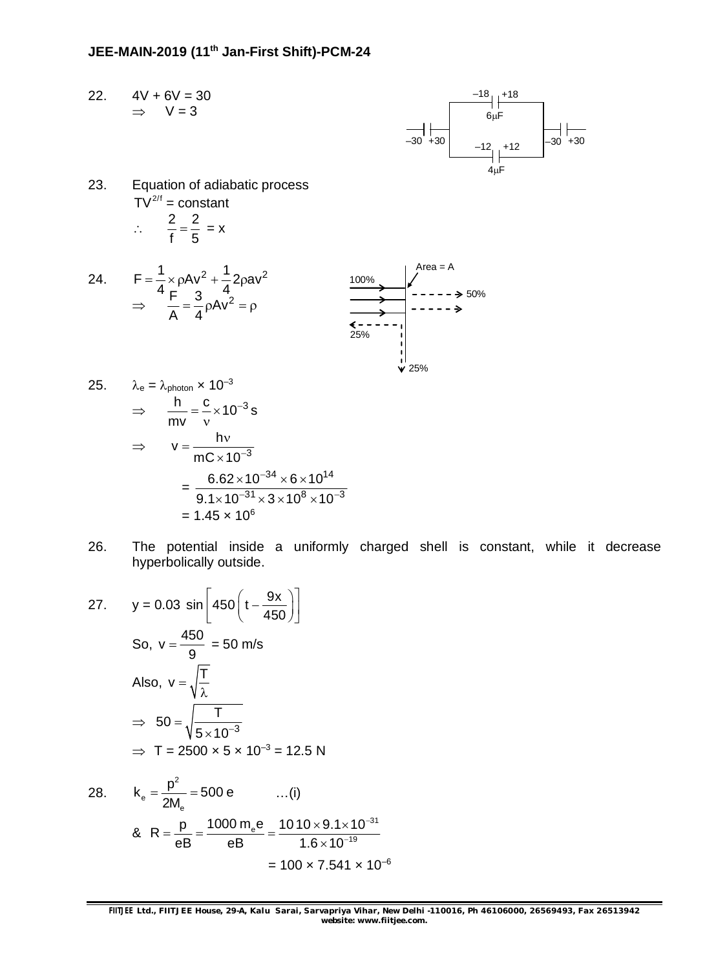### **JEE-MAIN-2019 (11th Jan-First Shift)-PCM-24**

22.  $4V + 6V = 30$  $\Rightarrow$  V = 3



23. Equation of adiabatic process  $\overline{IV}^{2/f}$  = constant  $\therefore \frac{2}{\epsilon} = \frac{2}{\epsilon}$ f 5  $=\frac{2}{x}$  = x



25. 
$$
\lambda_e = \lambda_{photon} \times 10^{-3}
$$
  
\n $\Rightarrow \frac{h}{mv} = \frac{c}{v} \times 10^{-3} s$   
\n $\Rightarrow v = \frac{hv}{mC \times 10^{-3}}$   
\n $= \frac{6.62 \times 10^{-34} \times 6 \times 10^{14}}{9.1 \times 10^{-31} \times 3 \times 10^8 \times 10^{-3}}$   
\n= 1.45 x 10<sup>6</sup>

26. The potential inside a uniformly charged shell is constant, while it decrease hyperbolically outside.

27. 
$$
y = 0.03 \sin \left[ 450 \left( t - \frac{9x}{450} \right) \right]
$$
  
\nSo,  $v = \frac{450}{9} = 50 \text{ m/s}$   
\nAlso,  $v = \sqrt{\frac{T}{\lambda}}$   
\n $\Rightarrow 50 = \sqrt{\frac{T}{5 \times 10^{-3}}}$   
\n $\Rightarrow T = 2500 \times 5 \times 10^{-3} = 12.5 \text{ N}$ 

28. 
$$
k_e = \frac{p^2}{2M_e} = 500 e
$$
 ...(i)  
\n
$$
8. R = \frac{p}{eB} = \frac{1000 m_e e}{eB} = \frac{1010 \times 9.1 \times 10^{-31}}{1.6 \times 10^{-19}} = 100 \times 7.541 \times 10^{-6}
$$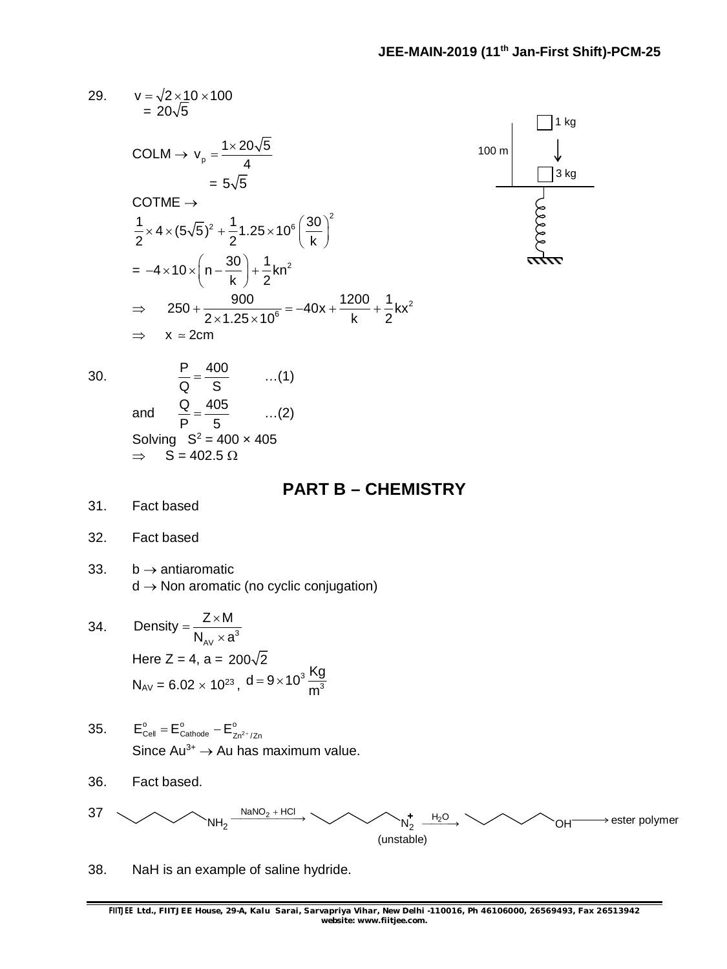29. 
$$
v = \sqrt{2 \times 10 \times 100}
$$
  
\n $= 20\sqrt{5}$   
\n $COLM \rightarrow v_p = \frac{1 \times 20\sqrt{5}}{4}$   
\n $= 5\sqrt{5}$   
\n $\frac{1}{2} \times 4 \times (5\sqrt{5})^2 + \frac{1}{2}1.25 \times 10^6 \left(\frac{30}{k}\right)^2$   
\n $= -4 \times 10 \times \left(n - \frac{30}{k}\right) + \frac{1}{2}kn^2$   
\n $\Rightarrow 250 + \frac{900}{2 \times 1.25 \times 10^6} = -40x + \frac{1200}{k} + \frac{1}{2}kx^2$   
\n $\Rightarrow x = 2cm$   
\n30.  $\frac{P}{Q} = \frac{400}{S}$  ...(1)  
\nand  $\frac{Q}{P} = \frac{405}{5}$  ...(2)  
\nSolving S<sup>2</sup> = 400 x 405  
\n $\Rightarrow S = 402.5 \Omega$   
\n31. Fact based  
\n32. Fact based  
\n33. b → antiaromatic (no cyclic conjugation)  
\n34.

34. Density = 
$$
\frac{Z \times M}{N_{AV} \times a^3}
$$
  
\nHere Z = 4, a = 200 $\sqrt{2}$   
\n $N_{AV} = 6.02 \times 10^{23}, d = 9 \times 10^3 \frac{\text{Kg}}{\text{m}^3}$ 

- 35.  $E_{\text{Cell}}^{\circ} = E_{\text{Cathode}}^{\circ} E_{\text{Zn}^{2+}/\text{Zn}}^{\circ}$ Since  $Au^{3+} \rightarrow Au$  has maximum value.
- 36. Fact based.



38. NaH is an example of saline hydride.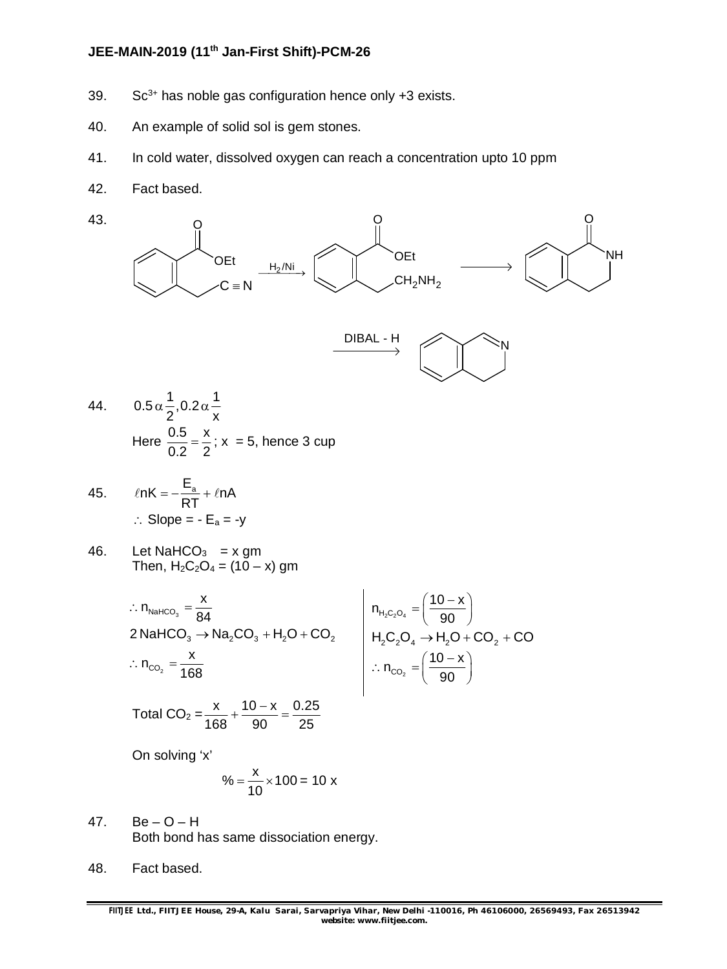### **JEE-MAIN-2019 (11th Jan-First Shift)-PCM-26**

- 39.  $Sc^{3+}$  has noble gas configuration hence only  $+3$  exists.
- 40. An example of solid sol is gem stones.
- 41. In cold water, dissolved oxygen can reach a concentration upto 10 ppm
- 42. Fact based.



- 44.  $0.5 \alpha \frac{1}{2}$ , 0.2 $\alpha$  $\frac{1}{2}$  $2^{\prime}$  x  $\alpha$  – 0.2 $\alpha$  – Here  $\frac{0.5}{0.2} = \frac{x}{2}$ 0.2 2  $=\frac{\pi}{6}$ ; x = 5, hence 3 cup
- 45.  $ln K = -\frac{E_a}{2\pi} + ln A$ RT  $\ell$ nK =  $-\frac{F_a}{D} + \ell n$  $\therefore$  Slope =  $-E_a = -y$
- 46. Let NaHCO $_3$  = x gm Then,  $H_2C_2O_4 = (10 - x)$  gm

$$
\therefore n_{\text{NaHCO}_3} = \frac{x}{84}
$$
  
2 NaHCO<sub>3</sub> → Na<sub>2</sub>CO<sub>3</sub> + H<sub>2</sub>O + CO<sub>2</sub>  

$$
\therefore n_{\text{CO}_2} = \frac{x}{168}
$$
  

$$
n_{\text{H}_2\text{C}_2\text{O}_4} = \left(\frac{10 - x}{90}\right)
$$
  

$$
n_{\text{H}_2\text{C}_2\text{O}_4} \rightarrow H_2\text{O} + \text{CO}_2 + \text{CO}
$$
  

$$
\therefore n_{\text{CO}_2} = \left(\frac{10 - x}{90}\right)
$$

Total CO<sub>2</sub> = 
$$
\frac{x}{168} + \frac{10 - x}{90} = \frac{0.25}{25}
$$

On solving 'x'

$$
\% = \frac{x}{10} \times 100 = 10 \text{ x}
$$

- 47.  $Be O H$ Both bond has same dissociation energy.
- 48. Fact based.

 $10 - x$ 

90  $=\left(\frac{10-x}{90}\right)$ 

90  $=\left(\frac{10-x}{90}\right)$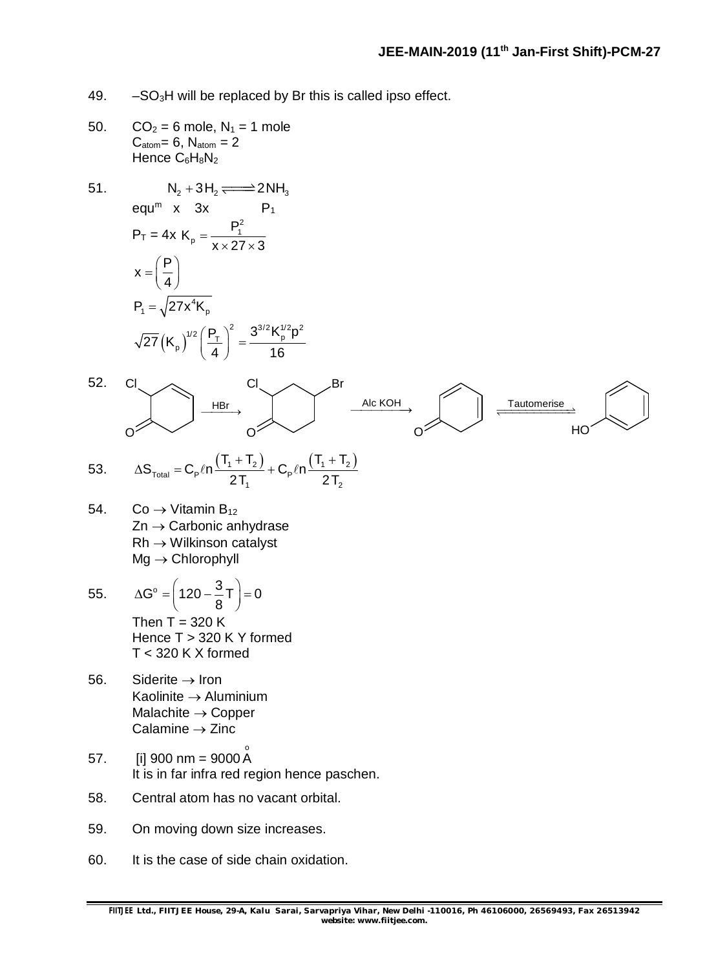- 49.  $-SO<sub>3</sub>H$  will be replaced by Br this is called ipso effect.
- 50.  $CO_2 = 6$  mole,  $N_1 = 1$  mole  $C_{atom}= 6$ ,  $N_{atom} = 2$ Hence C6H8N<sub>2</sub>
- 51.  $N_2 + 3H_2 \rightleftharpoons 2NH_3$ equ<sup>m</sup> x  $3x$  P<sub>1</sub>  $P_T = 4x$  $P_P = \frac{P_1^2}{V \cdot 27}$  $K_p = \frac{P}{q}$  $x \times 27 \times 3$  $=$  $\times$  27  $\times$  3  $x = \frac{P}{q}$ 4  $=\left(\frac{P}{4}\right)$  $(\mathsf{K}_\mathsf{p})$  $P_1 = \sqrt{27x^4K_p}$  $\left(\frac{P_{\rm T}}{4}\right)^2 = \frac{3^{3/2} K_{\rm p}^{1/2} p^2}{4.6}$  $\sqrt{27} (K_p)^{1/2} \left(\frac{P_T}{I}\right)^2 = \frac{3^{3/2} K_p^{1/2} p^2}{12}$ 4 ) 16  $\left(\frac{P_T}{4}\right)^2 =$



1 2

- 54. Co  $\rightarrow$  Vitamin B<sub>12</sub>  $Zn \rightarrow$  Carbonic anhydrase  $Rh \rightarrow$  Wilkinson catalyst  $Mg \rightarrow$  Chlorophyll
- 55.  $\Delta G^{\circ} = \left(120 \frac{3}{2}\right) = 0$  $\Delta G^{\circ} = \left(120 - \frac{3}{8}T\right) = 0$ Then  $T = 320 K$ Hence T > 320 K Y formed T < 320 K X formed
- 56. Siderite  $\rightarrow$  Iron Kaolinite  $\rightarrow$  Aluminium Malachite  $\rightarrow$  Copper Calamine  $\rightarrow$  Zinc
- 57. [i] 900 nm = 9000 Å It is in far infra red region hence paschen.
- 58. Central atom has no vacant orbital.
- 59. On moving down size increases.
- 60. It is the case of side chain oxidation.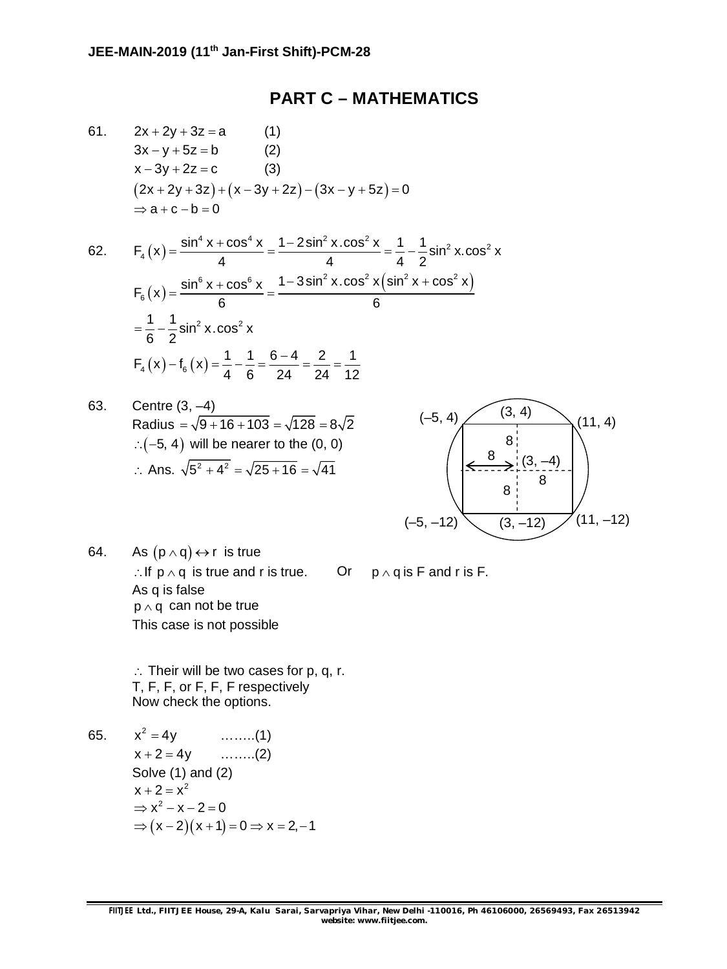#### **PART C – MATHEMATICS**

61.  $2x + 2y + 3z = a$  (1)  $3x - y + 5z = b$  (2)  $x - 3y + 2z = c$  (3)  $(2x + 2y + 3z) + (x - 3y + 2z) - (3x - y + 5z) = 0$  $\Rightarrow$  a + c - b = 0

62. 
$$
F_4(x) = \frac{\sin^4 x + \cos^4 x}{4} = \frac{1 - 2\sin^2 x \cdot \cos^2 x}{4} = \frac{1}{4} - \frac{1}{2}\sin^2 x \cdot \cos^2 x
$$

$$
F_6(x) = \frac{\sin^6 x + \cos^6 x}{6} = \frac{1 - 3\sin^2 x \cdot \cos^2 x (\sin^2 x + \cos^2 x)}{6}
$$

$$
= \frac{1}{6} - \frac{1}{2}\sin^2 x \cdot \cos^2 x
$$

$$
F_4(x) - f_6(x) = \frac{1}{4} - \frac{1}{6} = \frac{6 - 4}{24} = \frac{2}{24} = \frac{1}{12}
$$

63. Centre (3, –4) Radius =  $\sqrt{9 + 16 + 103} = \sqrt{128} = 8\sqrt{2}$  $\therefore$  (-5, 4) will be nearer to the  $(0, 0)$ : Ans.  $\sqrt{5^2 + 4^2} = \sqrt{25 + 16} = \sqrt{41}$ 



64. As  $(p \wedge q) \leftrightarrow r$  is true : If  $p \wedge q$  is true and r is true. Or  $p \wedge q$  is F and r is F. As q is false  $p \wedge q$  can not be true This case is not possible

 $\therefore$  Their will be two cases for p, q, r. T, F, F, or F, F, F respectively Now check the options.

65.  $x^2 = 4y$ 

 $\dots\dots(1)$  $x + 2 = 4y$  ........(2) Solve (1) and (2)  $x + 2 = x^2$  $\Rightarrow$   $x^2 - x - 2 = 0$  $\Rightarrow$   $(x-2)(x+1) = 0 \Rightarrow x = 2, -1$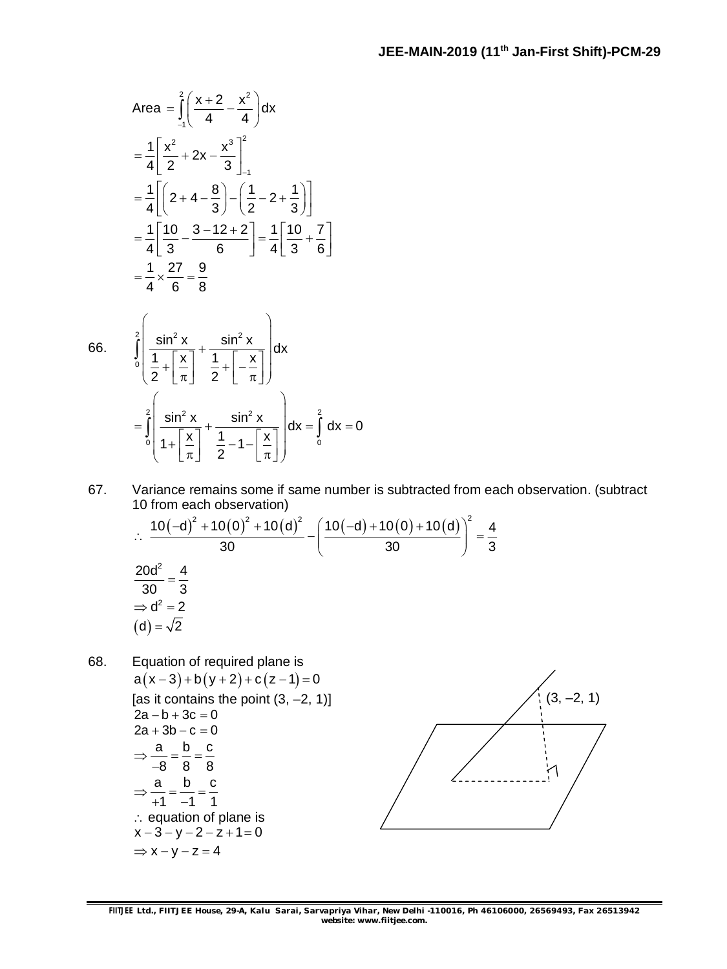Area 
$$
= \int_{-1}^{2} \left( \frac{x+2}{4} - \frac{x^2}{4} \right) dx
$$

$$
= \frac{1}{4} \left[ \frac{x^2}{2} + 2x - \frac{x^3}{3} \right]_{-1}^{2}
$$

$$
= \frac{1}{4} \left[ \left( 2 + 4 - \frac{8}{3} \right) - \left( \frac{1}{2} - 2 + \frac{1}{3} \right) \right]
$$

$$
= \frac{1}{4} \left[ \frac{10}{3} - \frac{3 - 12 + 2}{6} \right] = \frac{1}{4} \left[ \frac{10}{3} + \frac{7}{6} \right]
$$

$$
= \frac{1}{4} \times \frac{27}{6} = \frac{9}{8}
$$

66.

$$
\int_{0}^{2} \left( \frac{\sin^2 x}{\frac{1}{2} + \left[\frac{x}{\pi}\right]} + \frac{\sin^2 x}{\frac{1}{2} + \left[-\frac{x}{\pi}\right]} \right) dx
$$
  

$$
= \int_{0}^{2} \left( \frac{\sin^2 x}{\frac{1}{2} + \left[\frac{x}{\pi}\right]} + \frac{\sin^2 x}{\frac{1}{2} - 1 - \left[\frac{x}{\pi}\right]} \right) dx = \int_{0}^{2} dx = 0
$$

67. Variance remains some if same number is subtracted from each observation. (subtract 10 from each observation)

$$
\therefore \frac{10(-d)^2 + 10(0)^2 + 10(d)^2}{30} - \left(\frac{10(-d) + 10(0) + 10(d)}{30}\right)^2 = \frac{4}{3}
$$
  

$$
\frac{20d^2}{30} = \frac{4}{3}
$$
  

$$
\Rightarrow d^2 = 2
$$
  
(d) =  $\sqrt{2}$ 

68. Equation of required plane is  $a(x-3)+b(y+2)+c(z-1)=0$ [as it contains the point  $(3, -2, 1)$ ]  $2a - b + 3c = 0$  $2a + 3b - c = 0$ a b c 8 8 8  $\Rightarrow \frac{a}{2} = \frac{b}{2} = \frac{1}{2}$  $\overline{\phantom{0}}$ a b c  $1 - 1 1$  $\Rightarrow \frac{a}{i} = \frac{b}{i} = \frac{c}{i}$  $+1$   $-1$ : equation of plane is  $x - 3 - y - 2 - z + 1 = 0$  $\Rightarrow$  x - y - z = 4

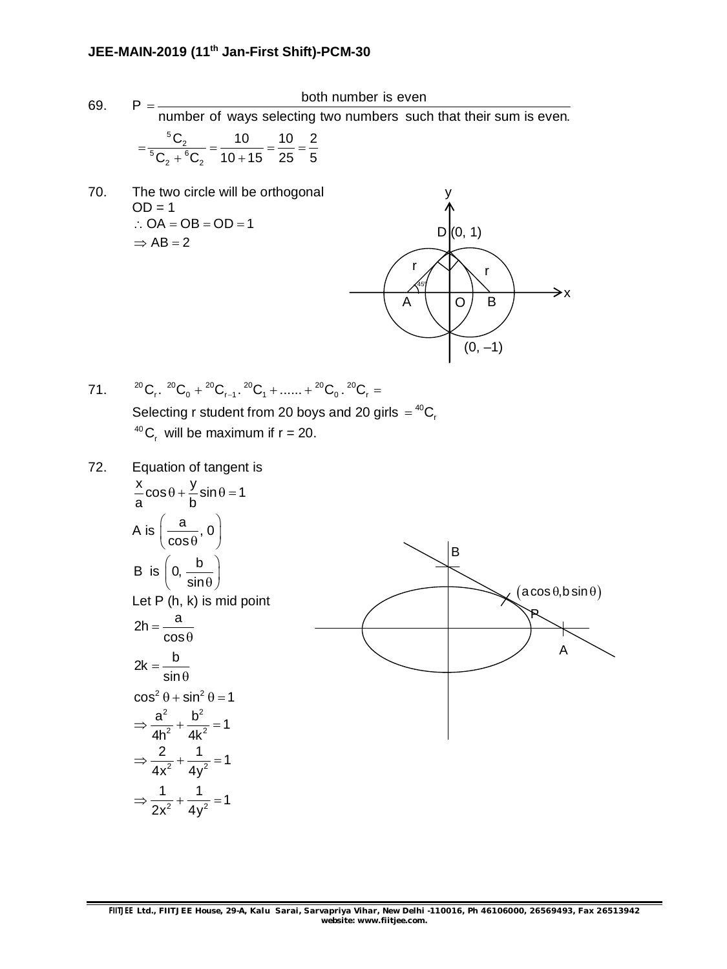### **JEE-MAIN-2019 (11th Jan-First Shift)-PCM-30**

 $\cos^2 \theta + \sin^2 \theta = 1$ 2  $h^2$  $\frac{a^2}{16^2} + \frac{b^2}{4k^2} = 1$  $4h^2$  4k  $\Rightarrow \frac{a}{12} + \frac{b}{12} =$ 

 $\frac{2}{x^2} + \frac{1}{4x^2} = 1$ 4x $^2$  4y  $\Rightarrow$   $\frac{2}{2}$  +  $\frac{1}{2}$  = 1

 $\frac{1}{x^2} + \frac{1}{4x^2} = 1$ 2x $^2$  4y  $\Rightarrow$   $\frac{1}{2}$  +  $\frac{1}{2}$  = 1

69. <sup>P</sup>both number is even number of ways selecting two numbers such that their sum is even.  $=$  $^{5}C_{2}$ <br> $^{5}C_{2}$  +  $^{6}C_{2}$  $C_2$  10 10 2  $C_2 + {}^{6}C_2$  10 + 15 25 5  $=\frac{62}{150}=\frac{18}{10}=\frac{18}{15}=\frac{18}{15}=\frac{18}{15}=\frac{18}{15}=\frac{18}{15}=\frac{18}{15}=\frac{18}{15}=\frac{18}{15}=\frac{18}{15}=\frac{18}{15}=\frac{18}{15}=\frac{18}{15}=\frac{18}{15}=\frac{18}{15}=\frac{18}{15}=\frac{18}{15}=\frac{18}{15}=\frac{18}{15}=\frac{18}{15}=\frac{18}{15}=\frac{18}{15}=\frac{18}{15}=\frac{$  $+{}^{6}C_{2}$  10 + 70. The two circle will be orthogonal  $OD = 1$  $\therefore$  OA = OB = OD = 1  $\Rightarrow$  AB = 2  $D(0, 1)$  $(0, -1)$  $A \cup O$  B r r y  $\rightarrow$ x  $45^\circ$ 71.  ${}^{20}C_r$ .  ${}^{20}C_0 + {}^{20}C_{r-1}$ .  ${}^{20}C_1 + \dots + {}^{20}C_0$ .  ${}^{20}C_r =$ Selecting r student from 20 boys and 20 girls  $=$   $^{40}$ C<sub>r</sub> <sup>40</sup>C<sub>r</sub> will be maximum if  $r = 20$ . 72. Equation of tangent is  $\frac{x}{2}$ cos  $\theta + \frac{y}{2}$ sin  $\theta = 1$ a b  $\theta + \frac{J}{I} \sin \theta = 1$ A is  $\left(\frac{a}{a}, 0\right)$  $\left(\frac{\mathsf{a}}{\cos{\theta}},\mathsf{0}\right)$ B is  $\left(0, \frac{b}{b}\right)$  $\left(0, \frac{b}{\sin \theta}\right)$ Let P (h, k) is mid point  $2h = \frac{a}{2h}$ cos  $=$  $\theta$  $2k = \frac{b}{i}$ sin  $=$  $\theta$ B  $(a \cos \theta, b \sin \theta)$ A P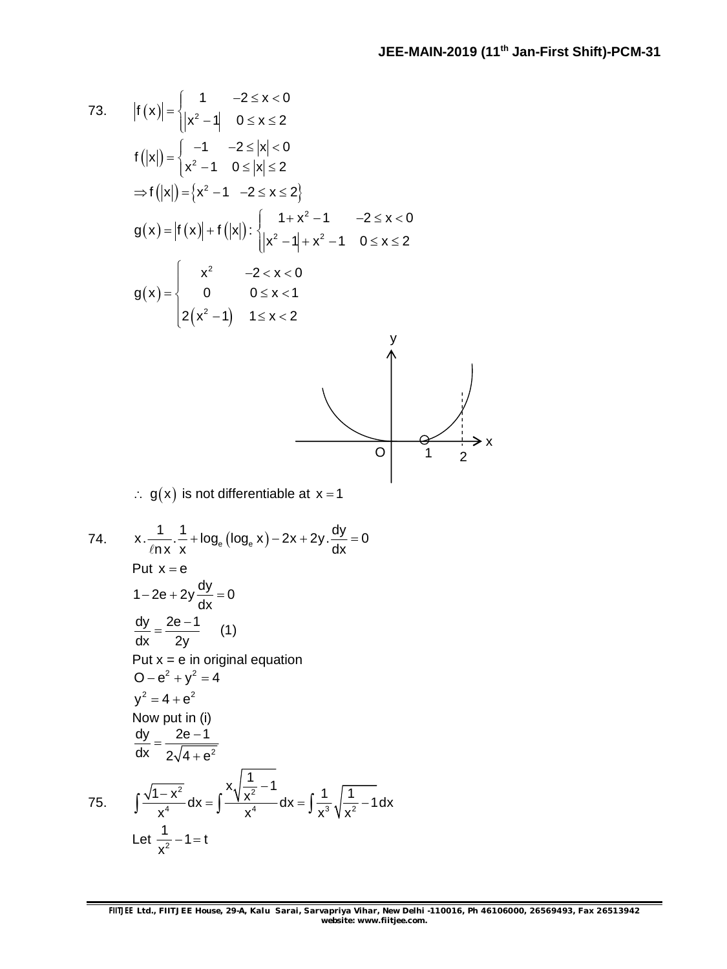x

73. 
$$
|f(x)| = \begin{cases} 1 & -2 \le x < 0 \\ |x^2 - 1| & 0 \le x \le 2 \end{cases}
$$
  
\n $f(|x|) = \begin{cases} -1 & -2 \le |x| < 0 \\ x^2 - 1 & 0 \le |x| \le 2 \end{cases}$   
\n $\Rightarrow f(|x|) = \{x^2 - 1 - 2 \le x \le 2\}$   
\n $g(x) = |f(x)| + f(|x|): \begin{cases} 1 + x^2 - 1 & -2 \le x < 0 \\ |x^2 - 1| + x^2 - 1 & 0 \le x \le 2 \end{cases}$   
\n $g(x) = \begin{cases} x^2 & -2 < x < 0 \\ 0 & 0 \le x < 1 \\ 2(x^2 - 1) & 1 \le x < 2 \end{cases}$   
\n $\therefore g(x)$  is not differentiable at  $x = 1$   
\n74.  $x \cdot \frac{1}{\ln x} \cdot \frac{1}{x} + \log_e(\log_e x) - 2x + 2y \cdot \frac{dy}{dx} = 0$   
\nPut  $x = e$   
\n $1 - 2e + 2y \frac{dy}{dx} = 0$   
\n $\frac{dy}{dx} = \frac{2e - 1}{2y}$  (1)  
\nPut  $x = e$  in original equation  
\n $0 - e^2 + y^2 = 4$   
\n $y^2 = 4 + e^2$   
\nNow put in (i)  
\n $\frac{dy}{dx} = \frac{2e - 1}{2\sqrt{4 + e^2}}$   
\nNow put in (i)  
\n $\frac{dy}{dx} = \frac{2e - 1}{2\sqrt{4 + e^2}}$   
\n75.  $\int \frac{\sqrt{1 - x^2}}{x^4} dx = \int \frac{x\sqrt{1 - x^2}}{x^4} dx = \int \frac{1}{x^3} \sqrt{\frac{1}{x^2} - 1} dx$   
\nLet  $\frac{1}{x^2} - 1 = t$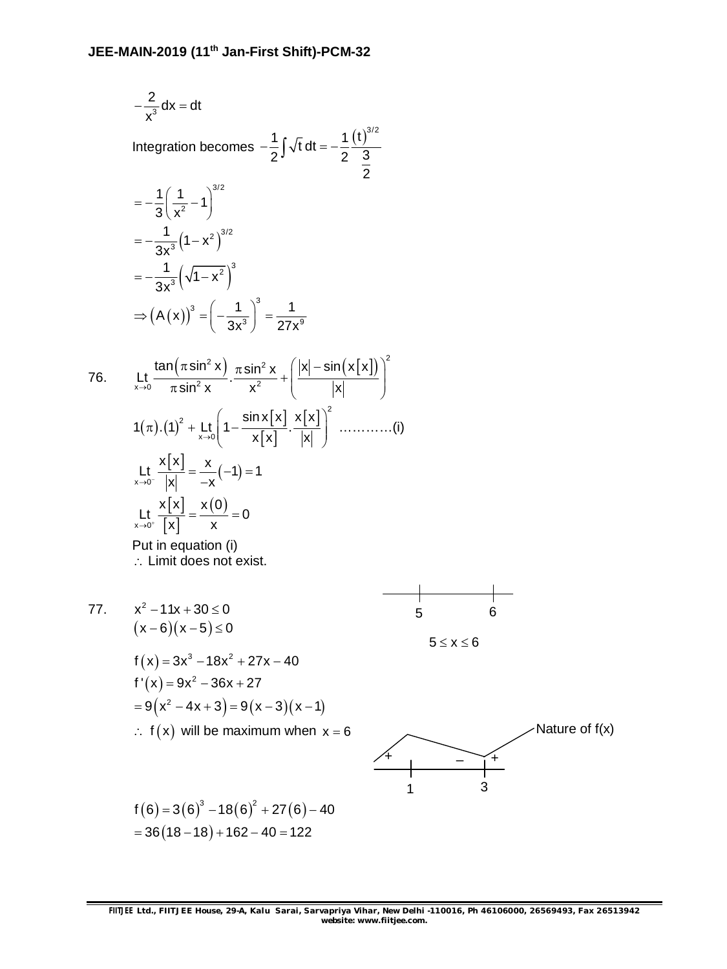$$
-\frac{2}{x^3} dx = dt
$$
  
\nIntegration becomes  $-\frac{1}{2}\int \sqrt{t} dt = -\frac{1}{2}\frac{(t)^{3/2}}{3}$   
\n
$$
= -\frac{1}{3}\left(\frac{1}{x^2} - 1\right)^{3/2}
$$
  
\n
$$
= -\frac{1}{3x^3}\left(\sqrt{1-x^2}\right)^{3/2}
$$
  
\n
$$
= -\frac{1}{3x^3}\left(\sqrt{1-x^2}\right)^3
$$
  
\n
$$
\Rightarrow (A(x))^3 = \left(-\frac{1}{3x^3}\right)^3 = \frac{1}{27x^9}
$$
  
\n76. 
$$
L_x \frac{\tan(\pi \sin^2 x)}{\pi \sin^2 x} \cdot \frac{\pi \sin^2 x}{x^2} + \frac{[x] - \sin(x[x])}{|x|}\right)^2
$$
  
\n
$$
1(\pi) \cdot (1)^2 + \frac{1}{x \cdot 5} \left(1 - \frac{\sin x[x]}{x[x]}, \frac{x[x]}{|x|}\right)^2 \cdot \dots \infty
$$
  
\n
$$
L_x \frac{x[x]}{x} = \frac{x}{|x|} = \frac{x}{x}(-1) = 1
$$
  
\n
$$
L_y \frac{x[x]}{x} = \frac{x(0)}{x} = 0
$$
  
\nPut in equation (i)  
\n
$$
L_x \lim_{x \to 0^+} \frac{x[0]}{x} = \frac{x}{x}(-1) = 1
$$
  
\n
$$
L_y \frac{x[x]}{x} = \frac{x(0)}{x} = 0
$$
  
\nPut in equation (i)  
\n
$$
L_x \lim_{x \to 0^+} \frac{x[0]}{x} = \frac{x}{x}(-1) = 1
$$
  
\n
$$
L_y \frac{x[1]}{x} = \frac{x(0)}{x} = 0
$$
  
\n
$$
L_y \lim_{x \to 0^+} \frac{x[2]}{x} = \frac{x(0)}{x} = 0
$$
  
\n
$$
L_y \lim_{x \to 0^+} \frac{x[2]}{x} = \frac{x(0)}{x} = 0
$$
  
\n
$$
L_y \lim_{x \to 0^+} \frac{x[2]}{x} = \frac{x(
$$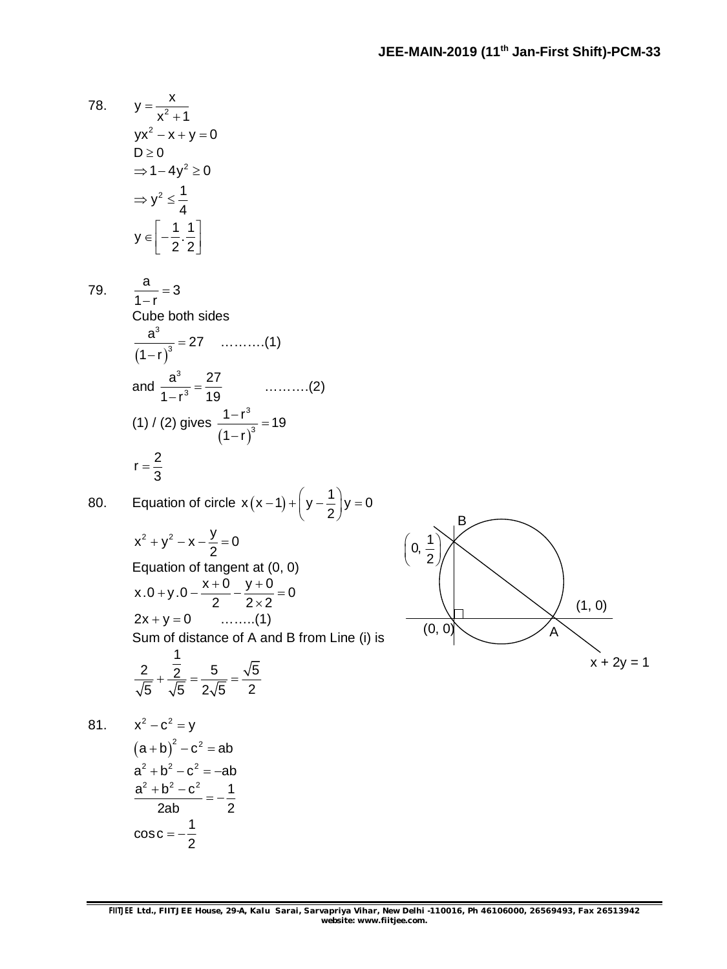78. 
$$
y = \frac{x}{x^2 + 1}
$$

$$
yx^2 - x + y = 0
$$

$$
D \ge 0
$$

$$
\Rightarrow 1 - 4y^2 \ge 0
$$

$$
\Rightarrow y^2 \le \frac{1}{4}
$$

$$
y \in \left[ -\frac{1}{2} \cdot \frac{1}{2} \right]
$$

79.  $\frac{a}{1}$  = 3

 $1 - r$  $\overline{a}$ Cube both sides

 $=$ 

$$
\frac{a^{3}}{(1-r)^{3}} = 27 \quad \dots \dots \dots (1)
$$
  
and 
$$
\frac{a^{3}}{1-r^{3}} = \frac{27}{19} \quad \dots \dots \dots (2)
$$
  
(1) / (2) gives 
$$
\frac{1-r^{3}}{(1-r)^{3}} = 19
$$
  

$$
r = \frac{2}{3}
$$

80. Equation of circle 
$$
x(x-1)+\left(y-\frac{1}{2}\right)y=0
$$

$$
x^{2} + y^{2} - x - \frac{y}{2} = 0
$$
  
Equation of tangent at (0, 0)  
x.0 + y.0 -  $\frac{x + 0}{2} - \frac{y + 0}{2 \times 2} = 0$   
2x + y = 0 .........(1)

Sum of distance of A and B from Line (i) is  $\overline{1}$ 

$$
\frac{2}{\sqrt{5}} + \frac{\frac{1}{2}}{\sqrt{5}} = \frac{5}{2\sqrt{5}} = \frac{\sqrt{5}}{2}
$$

81.  $x^2 - c^2 = y$ 

$$
(a + b)2 - c2 = ab
$$
  
\n
$$
a2 + b2 - c2 = -ab
$$
  
\n
$$
\frac{a2 + b2 - c2}{2ab} = -\frac{1}{2}
$$
  
\n
$$
cos c = -\frac{1}{2}
$$

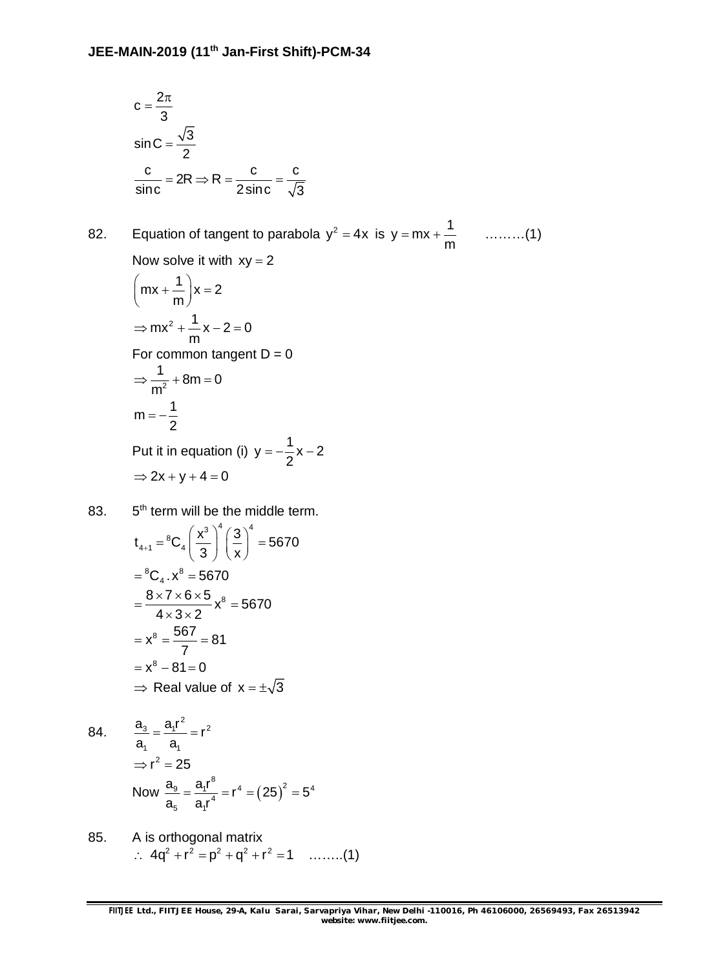$$
c = \frac{2\pi}{3}
$$
  
sin C =  $\frac{\sqrt{3}}{2}$   
 $\frac{c}{\text{sinc}} = 2R \Rightarrow R = \frac{c}{2\text{sinc}} = \frac{c}{\sqrt{3}}$ 

82. Equation of tangent to parabola  $y^2 = 4x$  is  $y = mx + \frac{1}{x}$ m  $=$  mx +  $\rightarrow$   $\cdots$   $(1)$ 

Now solve it with  $xy = 2$ 

$$
\left(mx + \frac{1}{m}\right)x = 2
$$
\n
$$
\Rightarrow mx^2 + \frac{1}{m}x - 2 = 0
$$
\nFor common tangent D = 0\n
$$
\Rightarrow \frac{1}{m^2} + 8m = 0
$$
\n
$$
m = -\frac{1}{2}
$$
\nPut it in equation (i) y = -\frac{1}{2}x - 2\n
$$
\Rightarrow 2x + y + 4 = 0
$$

83. 5<sup>th</sup> term will be the middle term.  
\n
$$
t_{4+1} = {}^{8}C_{4} \left(\frac{x^{3}}{3}\right)^{4} \left(\frac{3}{x}\right)^{4} = 5670
$$
  
\n $= {}^{8}C_{4} \cdot x^{8} = 5670$   
\n $= \frac{8 \times 7 \times 6 \times 5}{4 \times 3 \times 2} x^{8} = 5670$   
\n $= x^{8} = \frac{567}{7} = 81$   
\n $= x^{8} - 81 = 0$   
\n $\Rightarrow$  Real value of  $x = \pm \sqrt{3}$ 

84. 
$$
\frac{a_3}{a_1} = \frac{a_1 r^2}{a_1} = r^2
$$

$$
\Rightarrow r^2 = 25
$$
Now 
$$
\frac{a_9}{a_5} = \frac{a_1 r^8}{a_1 r^4} = r^4 = (25)^2 = 5^4
$$

85. A is orthogonal matrix  $2.4 q^2 + r^2 = p^2 + q^2 + r^2 = 1$  ........(1)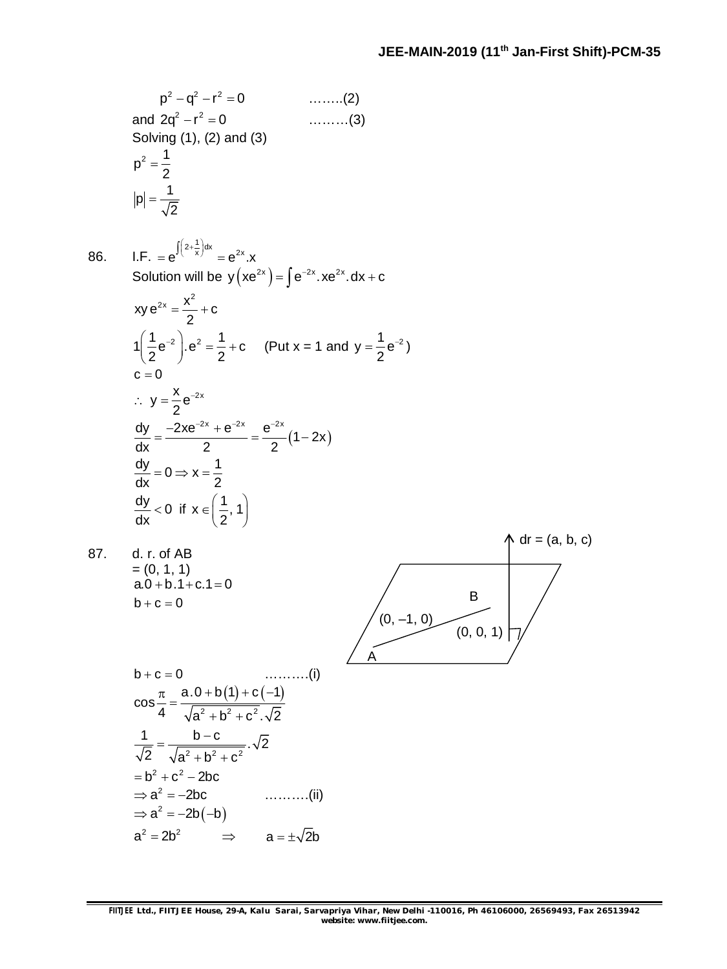2 2 2 p q r 0 ……..(2) and 2 2 2q r 0 ………(3) Solving (1), (2) and (3) <sup>2</sup> 1 p 2 1 p 2 86. I.F. 1 2 dx <sup>x</sup> 2x e e .x Solution will be 2x 2x 2x y xe e .xe .dx c 2 2x x xy e c 2 1 1 2 2 1 e .e c 2 2 (Put x = 1 and <sup>1</sup> <sup>2</sup> y e 2 ) c 0 <sup>x</sup> 2x y e 2 2x 2x 2x dy 2xe e e 1 2x dx 2 2 dy 1 0 x dx 2 dy <sup>0</sup> dx if <sup>1</sup> x , 1 2 87. d. r. of AB = (0, 1, 1) a.0 b.1 c.1 0 b c 0 dr = (a, b, c) (0, –1, 0) B A (0, 0, 1) b c 0 ……….(i) 2 2 2 a.0 b 1 c 1 cos 4 a b c . 2 2 2 2 1 b c . 2 2 a b c 2 2 b c 2bc <sup>2</sup> a 2bc ……….(ii) <sup>2</sup> a 2b b 2 2 a 2b a 2b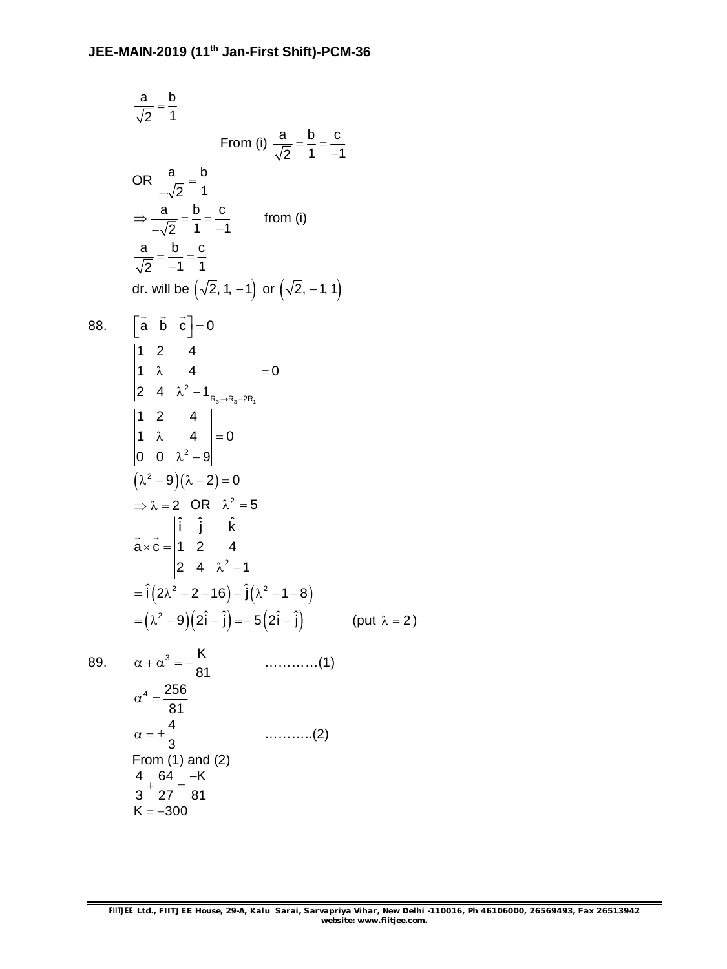a b 2 1  $=$ From (i)  $\frac{a}{\sqrt{a}} = \frac{b}{\sqrt{a}} = \frac{c}{\sqrt{a}}$ 2 1  $-1$  $=\frac{6}{1}$  = - $\overline{a}$ OR  $\frac{a}{\sqrt{a}} = \frac{b}{b}$ 2 1  $=$  $\overline{a}$ a b c 2 1  $-1$  $\Rightarrow \frac{a}{\sqrt{a}} = \frac{b}{4} = -\sqrt{2}$  1 – from (i) a b c  $2 -1 1$  $= -\frac{6}{4} = -\frac{1}{4}$  $\overline{a}$ dr. will be  $(\sqrt{2}, 1, -1)$  or  $(\sqrt{2}, -1, 1)$ 88.  $\begin{bmatrix} \vec{a} & \vec{b} & \vec{c} \end{bmatrix} = 0$  $\rightarrow$   $\rightarrow$   $\rightarrow$   $\rightarrow$  $3 - n_3 - 2n_1$ 2  $R_3 \rightarrow R_3 - 2R$ 1 2 4  $1 \t\lambda \t4 \t=0$ 2 4  $\lambda^2 - 1 \vert_{R_3 \to R_3 - 2}$  $\lambda$  4 = 0  $\lambda^2$  – 1 2 1 2 4 1  $\lambda$  4  $= 0$ 0 0  $\lambda^2 - 9$  $\lambda \qquad 4 \quad | = 0$  $\lambda^2 - 9$  $(\lambda^2 - 9)(\lambda - 2) = 0$  $\Rightarrow \lambda = 2$  OR  $\lambda^2 = 5$ 2 ˆ ˆ ˆ i j k  $a \times c = |1 \ 2 \ 4$ 2 4  $\lambda^2 - 1$  $\times c =$  $\lambda^2$  – 1  $\rightarrow$  $= \hat{i} (2\lambda^2 - 2 - 16) - \hat{j} (\lambda^2 - 1 - 8)$  $\mathsf{P} = \big( \lambda^2 - 9 \big) \big( 2 \hat{\mathsf{i}} - \hat{\mathsf{j}} \big) = - \, 5 \big( 2 \hat{\mathsf{i}} - \hat{\mathsf{j}} \big) \hspace{1cm} \text{(put } \lambda = 2 \text{)}$ 89.  $\alpha + \alpha^3 = -\frac{K}{2}$ 81 …………(1)  $_4$  256 81  $\alpha^4 =$ 4 3 ………..(2) From (1) and (2) 4 64 –K 3 27 81  $+\frac{64}{27} = K = -300$